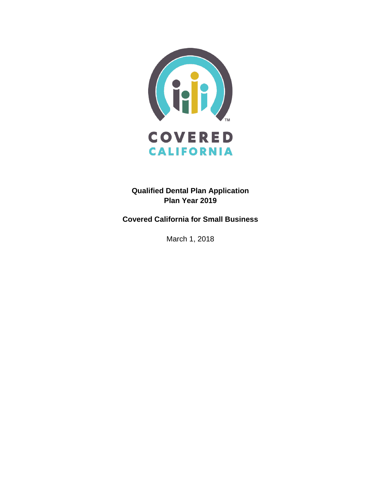

**Qualified Dental Plan Application Plan Year 2019**

**Covered California for Small Business**

March 1, 2018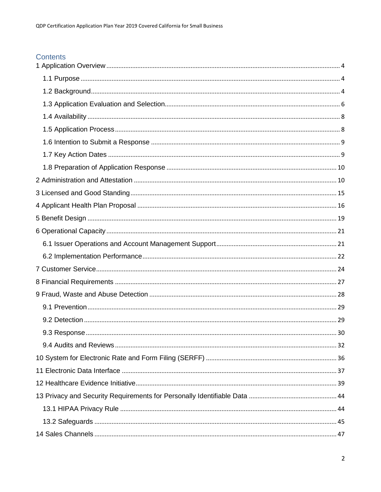### Contents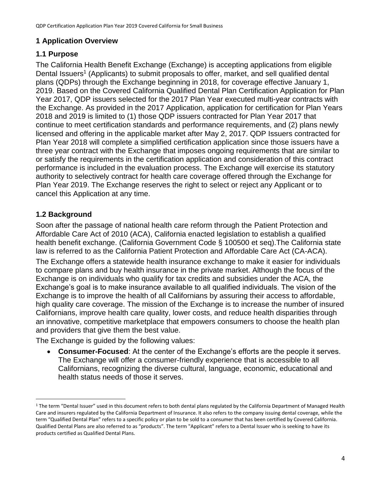## <span id="page-3-0"></span>**1 Application Overview**

# <span id="page-3-1"></span>**1.1 Purpose**

The California Health Benefit Exchange (Exchange) is accepting applications from eligible Dental Issuers<sup>1</sup> (Applicants) to submit proposals to offer, market, and sell qualified dental plans (QDPs) through the Exchange beginning in 2018, for coverage effective January 1, 2019. Based on the Covered California Qualified Dental Plan Certification Application for Plan Year 2017, QDP issuers selected for the 2017 Plan Year executed multi-year contracts with the Exchange. As provided in the 2017 Application, application for certification for Plan Years 2018 and 2019 is limited to (1) those QDP issuers contracted for Plan Year 2017 that continue to meet certification standards and performance requirements, and (2) plans newly licensed and offering in the applicable market after May 2, 2017. QDP Issuers contracted for Plan Year 2018 will complete a simplified certification application since those issuers have a three year contract with the Exchange that imposes ongoing requirements that are similar to or satisfy the requirements in the certification application and consideration of this contract performance is included in the evaluation process. The Exchange will exercise its statutory authority to selectively contract for health care coverage offered through the Exchange for Plan Year 2019. The Exchange reserves the right to select or reject any Applicant or to cancel this Application at any time.

# <span id="page-3-2"></span>**1.2 Background**

 $\overline{a}$ 

Soon after the passage of national health care reform through the Patient Protection and Affordable Care Act of 2010 (ACA), California enacted legislation to establish a qualified health benefit exchange. (California Government Code § 100500 et seq).The California state law is referred to as the California Patient Protection and Affordable Care Act (CA-ACA).

The Exchange offers a statewide health insurance exchange to make it easier for individuals to compare plans and buy health insurance in the private market. Although the focus of the Exchange is on individuals who qualify for tax credits and subsidies under the ACA, the Exchange's goal is to make insurance available to all qualified individuals. The vision of the Exchange is to improve the health of all Californians by assuring their access to affordable, high quality care coverage. The mission of the Exchange is to increase the number of insured Californians, improve health care quality, lower costs, and reduce health disparities through an innovative, competitive marketplace that empowers consumers to choose the health plan and providers that give them the best value.

The Exchange is guided by the following values:

• **Consumer-Focused**: At the center of the Exchange's efforts are the people it serves. The Exchange will offer a consumer-friendly experience that is accessible to all Californians, recognizing the diverse cultural, language, economic, educational and health status needs of those it serves.

<sup>&</sup>lt;sup>1</sup> The term "Dental Issuer" used in this document refers to both dental plans regulated by the California Department of Managed Health Care and insurers regulated by the California Department of Insurance. It also refers to the company issuing dental coverage, while the term "Qualified Dental Plan" refers to a specific policy or plan to be sold to a consumer that has been certified by Covered California. Qualified Dental Plans are also referred to as "products". The term "Applicant" refers to a Dental Issuer who is seeking to have its products certified as Qualified Dental Plans.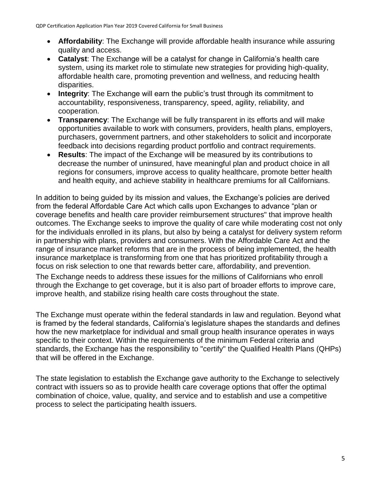- **Affordability**: The Exchange will provide affordable health insurance while assuring quality and access.
- **Catalyst**: The Exchange will be a catalyst for change in California's health care system, using its market role to stimulate new strategies for providing high-quality, affordable health care, promoting prevention and wellness, and reducing health disparities.
- **Integrity**: The Exchange will earn the public's trust through its commitment to accountability, responsiveness, transparency, speed, agility, reliability, and cooperation.
- **Transparency**: The Exchange will be fully transparent in its efforts and will make opportunities available to work with consumers, providers, health plans, employers, purchasers, government partners, and other stakeholders to solicit and incorporate feedback into decisions regarding product portfolio and contract requirements.
- **Results**: The impact of the Exchange will be measured by its contributions to decrease the number of uninsured, have meaningful plan and product choice in all regions for consumers, improve access to quality healthcare, promote better health and health equity, and achieve stability in healthcare premiums for all Californians.

In addition to being guided by its mission and values, the Exchange's policies are derived from the federal Affordable Care Act which calls upon Exchanges to advance "plan or coverage benefits and health care provider reimbursement structures" that improve health outcomes. The Exchange seeks to improve the quality of care while moderating cost not only for the individuals enrolled in its plans, but also by being a catalyst for delivery system reform in partnership with plans, providers and consumers. With the Affordable Care Act and the range of insurance market reforms that are in the process of being implemented, the health insurance marketplace is transforming from one that has prioritized profitability through a focus on risk selection to one that rewards better care, affordability, and prevention.

The Exchange needs to address these issues for the millions of Californians who enroll through the Exchange to get coverage, but it is also part of broader efforts to improve care, improve health, and stabilize rising health care costs throughout the state.

The Exchange must operate within the federal standards in law and regulation. Beyond what is framed by the federal standards, California's legislature shapes the standards and defines how the new marketplace for individual and small group health insurance operates in ways specific to their context. Within the requirements of the minimum Federal criteria and standards, the Exchange has the responsibility to "certify" the Qualified Health Plans (QHPs) that will be offered in the Exchange.

The state legislation to establish the Exchange gave authority to the Exchange to selectively contract with issuers so as to provide health care coverage options that offer the optimal combination of choice, value, quality, and service and to establish and use a competitive process to select the participating health issuers.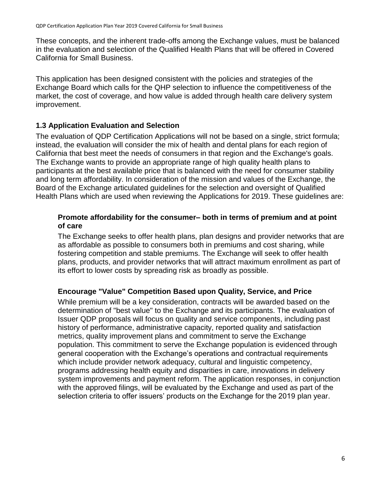These concepts, and the inherent trade-offs among the Exchange values, must be balanced in the evaluation and selection of the Qualified Health Plans that will be offered in Covered California for Small Business.

This application has been designed consistent with the policies and strategies of the Exchange Board which calls for the QHP selection to influence the competitiveness of the market, the cost of coverage, and how value is added through health care delivery system improvement.

### <span id="page-5-0"></span>**1.3 Application Evaluation and Selection**

The evaluation of QDP Certification Applications will not be based on a single, strict formula; instead, the evaluation will consider the mix of health and dental plans for each region of California that best meet the needs of consumers in that region and the Exchange's goals. The Exchange wants to provide an appropriate range of high quality health plans to participants at the best available price that is balanced with the need for consumer stability and long term affordability. In consideration of the mission and values of the Exchange, the Board of the Exchange articulated guidelines for the selection and oversight of Qualified Health Plans which are used when reviewing the Applications for 2019. These guidelines are:

### **Promote affordability for the consumer– both in terms of premium and at point of care**

The Exchange seeks to offer health plans, plan designs and provider networks that are as affordable as possible to consumers both in premiums and cost sharing, while fostering competition and stable premiums. The Exchange will seek to offer health plans, products, and provider networks that will attract maximum enrollment as part of its effort to lower costs by spreading risk as broadly as possible.

### **Encourage "Value" Competition Based upon Quality, Service, and Price**

While premium will be a key consideration, contracts will be awarded based on the determination of "best value" to the Exchange and its participants. The evaluation of Issuer QDP proposals will focus on quality and service components, including past history of performance, administrative capacity, reported quality and satisfaction metrics, quality improvement plans and commitment to serve the Exchange population. This commitment to serve the Exchange population is evidenced through general cooperation with the Exchange's operations and contractual requirements which include provider network adequacy, cultural and linguistic competency, programs addressing health equity and disparities in care, innovations in delivery system improvements and payment reform. The application responses, in conjunction with the approved filings, will be evaluated by the Exchange and used as part of the selection criteria to offer issuers' products on the Exchange for the 2019 plan year.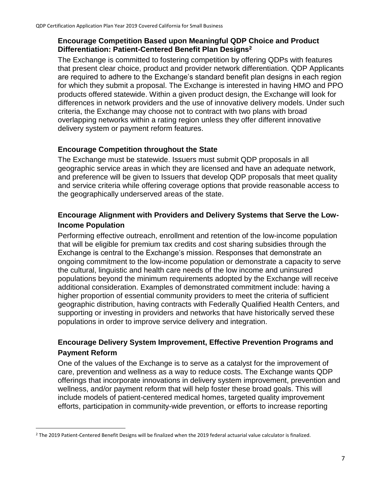### **Encourage Competition Based upon Meaningful QDP Choice and Product Differentiation: Patient-Centered Benefit Plan Designs<sup>2</sup>**

The Exchange is committed to fostering competition by offering QDPs with features that present clear choice, product and provider network differentiation. QDP Applicants are required to adhere to the Exchange's standard benefit plan designs in each region for which they submit a proposal. The Exchange is interested in having HMO and PPO products offered statewide. Within a given product design, the Exchange will look for differences in network providers and the use of innovative delivery models. Under such criteria, the Exchange may choose not to contract with two plans with broad overlapping networks within a rating region unless they offer different innovative delivery system or payment reform features.

### **Encourage Competition throughout the State**

The Exchange must be statewide. Issuers must submit QDP proposals in all geographic service areas in which they are licensed and have an adequate network, and preference will be given to Issuers that develop QDP proposals that meet quality and service criteria while offering coverage options that provide reasonable access to the geographically underserved areas of the state.

# **Encourage Alignment with Providers and Delivery Systems that Serve the Low-Income Population**

Performing effective outreach, enrollment and retention of the low-income population that will be eligible for premium tax credits and cost sharing subsidies through the Exchange is central to the Exchange's mission. Responses that demonstrate an ongoing commitment to the low-income population or demonstrate a capacity to serve the cultural, linguistic and health care needs of the low income and uninsured populations beyond the minimum requirements adopted by the Exchange will receive additional consideration. Examples of demonstrated commitment include: having a higher proportion of essential community providers to meet the criteria of sufficient geographic distribution, having contracts with Federally Qualified Health Centers, and supporting or investing in providers and networks that have historically served these populations in order to improve service delivery and integration.

# **Encourage Delivery System Improvement, Effective Prevention Programs and Payment Reform**

One of the values of the Exchange is to serve as a catalyst for the improvement of care, prevention and wellness as a way to reduce costs. The Exchange wants QDP offerings that incorporate innovations in delivery system improvement, prevention and wellness, and/or payment reform that will help foster these broad goals. This will include models of patient-centered medical homes, targeted quality improvement efforts, participation in community-wide prevention, or efforts to increase reporting

 $\ddot{\phantom{a}}$ 

<sup>&</sup>lt;sup>2</sup> The 2019 Patient-Centered Benefit Designs will be finalized when the 2019 federal actuarial value calculator is finalized.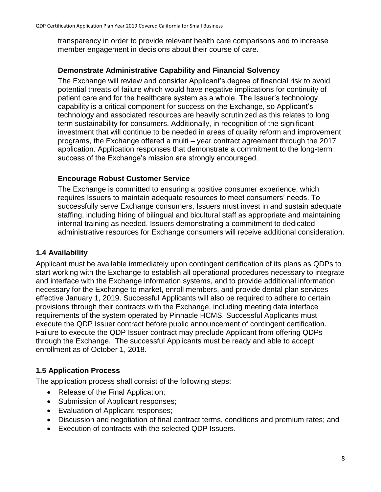transparency in order to provide relevant health care comparisons and to increase member engagement in decisions about their course of care.

### **Demonstrate Administrative Capability and Financial Solvency**

The Exchange will review and consider Applicant's degree of financial risk to avoid potential threats of failure which would have negative implications for continuity of patient care and for the healthcare system as a whole. The Issuer's technology capability is a critical component for success on the Exchange, so Applicant's technology and associated resources are heavily scrutinized as this relates to long term sustainability for consumers. Additionally, in recognition of the significant investment that will continue to be needed in areas of quality reform and improvement programs, the Exchange offered a multi – year contract agreement through the 2017 application. Application responses that demonstrate a commitment to the long-term success of the Exchange's mission are strongly encouraged.

### **Encourage Robust Customer Service**

The Exchange is committed to ensuring a positive consumer experience, which requires Issuers to maintain adequate resources to meet consumers' needs. To successfully serve Exchange consumers, Issuers must invest in and sustain adequate staffing, including hiring of bilingual and bicultural staff as appropriate and maintaining internal training as needed. Issuers demonstrating a commitment to dedicated administrative resources for Exchange consumers will receive additional consideration.

### <span id="page-7-0"></span>**1.4 Availability**

Applicant must be available immediately upon contingent certification of its plans as QDPs to start working with the Exchange to establish all operational procedures necessary to integrate and interface with the Exchange information systems, and to provide additional information necessary for the Exchange to market, enroll members, and provide dental plan services effective January 1, 2019. Successful Applicants will also be required to adhere to certain provisions through their contracts with the Exchange, including meeting data interface requirements of the system operated by Pinnacle HCMS. Successful Applicants must execute the QDP Issuer contract before public announcement of contingent certification. Failure to execute the QDP Issuer contract may preclude Applicant from offering QDPs through the Exchange. The successful Applicants must be ready and able to accept enrollment as of October 1, 2018.

### <span id="page-7-1"></span>**1.5 Application Process**

The application process shall consist of the following steps:

- Release of the Final Application;
- Submission of Applicant responses;
- Evaluation of Applicant responses;
- Discussion and negotiation of final contract terms, conditions and premium rates; and
- Execution of contracts with the selected QDP Issuers.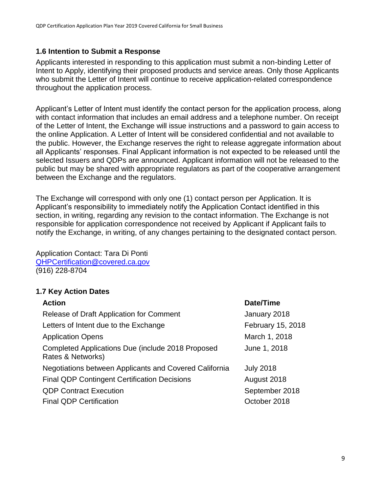### <span id="page-8-0"></span>**1.6 Intention to Submit a Response**

Applicants interested in responding to this application must submit a non-binding Letter of Intent to Apply, identifying their proposed products and service areas. Only those Applicants who submit the Letter of Intent will continue to receive application-related correspondence throughout the application process.

Applicant's Letter of Intent must identify the contact person for the application process, along with contact information that includes an email address and a telephone number. On receipt of the Letter of Intent, the Exchange will issue instructions and a password to gain access to the online Application. A Letter of Intent will be considered confidential and not available to the public. However, the Exchange reserves the right to release aggregate information about all Applicants' responses. Final Applicant information is not expected to be released until the selected Issuers and QDPs are announced. Applicant information will not be released to the public but may be shared with appropriate regulators as part of the cooperative arrangement between the Exchange and the regulators.

The Exchange will correspond with only one (1) contact person per Application. It is Applicant's responsibility to immediately notify the Application Contact identified in this section, in writing, regarding any revision to the contact information. The Exchange is not responsible for application correspondence not received by Applicant if Applicant fails to notify the Exchange, in writing, of any changes pertaining to the designated contact person.

Application Contact: Tara Di Ponti [QHPCertification@covered.ca.gov](mailto:Taylor.Priestley@covered.ca.gov) (916) 228-8704

### <span id="page-8-1"></span>**1.7 Key Action Dates**

| <b>Action</b>                                                                 | Date/Time         |
|-------------------------------------------------------------------------------|-------------------|
| Release of Draft Application for Comment                                      | January 2018      |
| Letters of Intent due to the Exchange                                         | February 15, 2018 |
| <b>Application Opens</b>                                                      | March 1, 2018     |
| <b>Completed Applications Due (include 2018 Proposed</b><br>Rates & Networks) | June 1, 2018      |
| Negotiations between Applicants and Covered California                        | <b>July 2018</b>  |
| <b>Final QDP Contingent Certification Decisions</b>                           | August 2018       |
| <b>QDP Contract Execution</b>                                                 | September 2018    |
| <b>Final QDP Certification</b>                                                | October 2018      |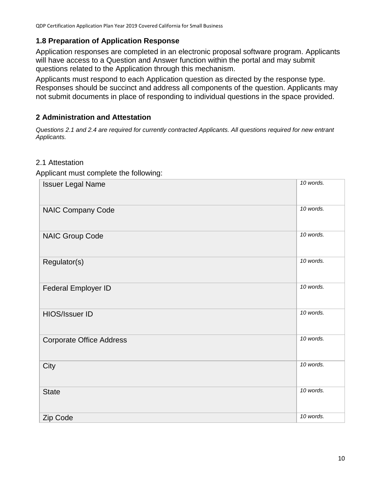### <span id="page-9-0"></span>**1.8 Preparation of Application Response**

Application responses are completed in an electronic proposal software program. Applicants will have access to a Question and Answer function within the portal and may submit questions related to the Application through this mechanism.

Applicants must respond to each Application question as directed by the response type. Responses should be succinct and address all components of the question. Applicants may not submit documents in place of responding to individual questions in the space provided.

### <span id="page-9-1"></span>**2 Administration and Attestation**

*Questions 2.1 and 2.4 are required for currently contracted Applicants. All questions required for new entrant Applicants.*

#### 2.1 Attestation

Applicant must complete the following:

| <b>Issuer Legal Name</b>        | 10 words. |
|---------------------------------|-----------|
| <b>NAIC Company Code</b>        | 10 words. |
| <b>NAIC Group Code</b>          | 10 words. |
| Regulator(s)                    | 10 words. |
| Federal Employer ID             | 10 words. |
| HIOS/Issuer ID                  | 10 words. |
| <b>Corporate Office Address</b> | 10 words. |
| City                            | 10 words. |
| <b>State</b>                    | 10 words. |
| Zip Code                        | 10 words. |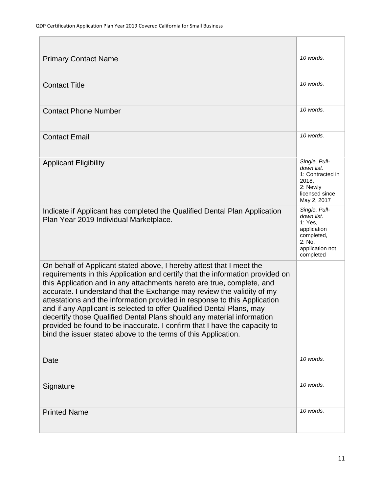| <b>Primary Contact Name</b>                                                                                                                                                                                                                                                                                                                                                                                                                                                                                                                                                                                                                                                              | 10 words.                                                                                                     |
|------------------------------------------------------------------------------------------------------------------------------------------------------------------------------------------------------------------------------------------------------------------------------------------------------------------------------------------------------------------------------------------------------------------------------------------------------------------------------------------------------------------------------------------------------------------------------------------------------------------------------------------------------------------------------------------|---------------------------------------------------------------------------------------------------------------|
| <b>Contact Title</b>                                                                                                                                                                                                                                                                                                                                                                                                                                                                                                                                                                                                                                                                     | 10 words.                                                                                                     |
| <b>Contact Phone Number</b>                                                                                                                                                                                                                                                                                                                                                                                                                                                                                                                                                                                                                                                              | 10 words.                                                                                                     |
| <b>Contact Email</b>                                                                                                                                                                                                                                                                                                                                                                                                                                                                                                                                                                                                                                                                     | 10 words.                                                                                                     |
| <b>Applicant Eligibility</b>                                                                                                                                                                                                                                                                                                                                                                                                                                                                                                                                                                                                                                                             | Single, Pull-<br>down list.<br>1: Contracted in<br>2018,<br>2: Newly<br>licensed since<br>May 2, 2017         |
| Indicate if Applicant has completed the Qualified Dental Plan Application<br>Plan Year 2019 Individual Marketplace.                                                                                                                                                                                                                                                                                                                                                                                                                                                                                                                                                                      | Single, Pull-<br>down list.<br>1: Yes,<br>application<br>completed,<br>2: No,<br>application not<br>completed |
| On behalf of Applicant stated above, I hereby attest that I meet the<br>requirements in this Application and certify that the information provided on<br>this Application and in any attachments hereto are true, complete, and<br>accurate. I understand that the Exchange may review the validity of my<br>attestations and the information provided in response to this Application<br>and if any Applicant is selected to offer Qualified Dental Plans, may<br>decertify those Qualified Dental Plans should any material information<br>provided be found to be inaccurate. I confirm that I have the capacity to<br>bind the issuer stated above to the terms of this Application. |                                                                                                               |
| Date                                                                                                                                                                                                                                                                                                                                                                                                                                                                                                                                                                                                                                                                                     | 10 words.                                                                                                     |
| Signature                                                                                                                                                                                                                                                                                                                                                                                                                                                                                                                                                                                                                                                                                | 10 words.                                                                                                     |
| <b>Printed Name</b>                                                                                                                                                                                                                                                                                                                                                                                                                                                                                                                                                                                                                                                                      | 10 words.                                                                                                     |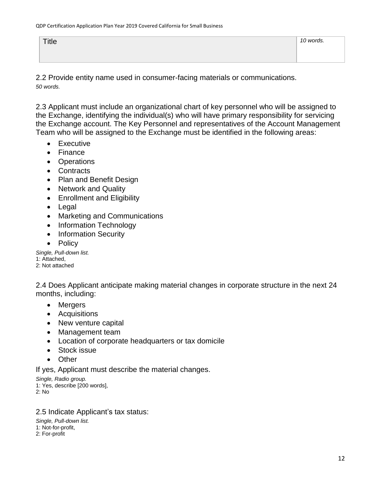2.2 Provide entity name used in consumer-facing materials or communications. *50 words.*

2.3 Applicant must include an organizational chart of key personnel who will be assigned to the Exchange, identifying the individual(s) who will have primary responsibility for servicing the Exchange account. The Key Personnel and representatives of the Account Management Team who will be assigned to the Exchange must be identified in the following areas:

- Executive
- Finance
- Operations
- Contracts
- Plan and Benefit Design
- Network and Quality
- Enrollment and Eligibility
- Legal
- Marketing and Communications
- Information Technology
- Information Security
- Policy

*Single, Pull-down list.* 1: Attached, 2: Not attached

2.4 Does Applicant anticipate making material changes in corporate structure in the next 24 months, including:

- Mergers
- Acquisitions
- New venture capital
- Management team
- Location of corporate headquarters or tax domicile
- Stock issue
- Other

If yes, Applicant must describe the material changes.

*Single, Radio group.* 1: Yes, describe [200 words], 2: No

2.5 Indicate Applicant's tax status:

*Single, Pull-down list.* 1: Not-for-profit, 2: For-profit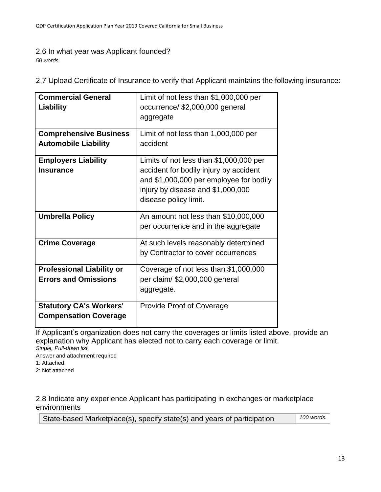# 2.6 In what year was Applicant founded?

*50 words.*

2.7 Upload Certificate of Insurance to verify that Applicant maintains the following insurance:

| <b>Commercial General</b><br>Liability                          | Limit of not less than \$1,000,000 per<br>occurrence/ \$2,000,000 general<br>aggregate                                                                                                      |
|-----------------------------------------------------------------|---------------------------------------------------------------------------------------------------------------------------------------------------------------------------------------------|
| <b>Comprehensive Business</b><br><b>Automobile Liability</b>    | Limit of not less than 1,000,000 per<br>accident                                                                                                                                            |
| <b>Employers Liability</b><br><b>Insurance</b>                  | Limits of not less than $$1,000,000$ per<br>accident for bodily injury by accident<br>and \$1,000,000 per employee for bodily<br>injury by disease and \$1,000,000<br>disease policy limit. |
| <b>Umbrella Policy</b>                                          | An amount not less than \$10,000,000<br>per occurrence and in the aggregate                                                                                                                 |
| <b>Crime Coverage</b>                                           | At such levels reasonably determined<br>by Contractor to cover occurrences                                                                                                                  |
| <b>Professional Liability or</b><br><b>Errors and Omissions</b> | Coverage of not less than \$1,000,000<br>per claim/ \$2,000,000 general<br>aggregate.                                                                                                       |
| <b>Statutory CA's Workers'</b><br><b>Compensation Coverage</b>  | <b>Provide Proof of Coverage</b>                                                                                                                                                            |

If Applicant's organization does not carry the coverages or limits listed above, provide an explanation why Applicant has elected not to carry each coverage or limit.

*Single, Pull-down list.*

Answer and attachment required

1: Attached,

2: Not attached

2.8 Indicate any experience Applicant has participating in exchanges or marketplace environments

State-based Marketplace(s), specify state(s) and years of participation *100 words.*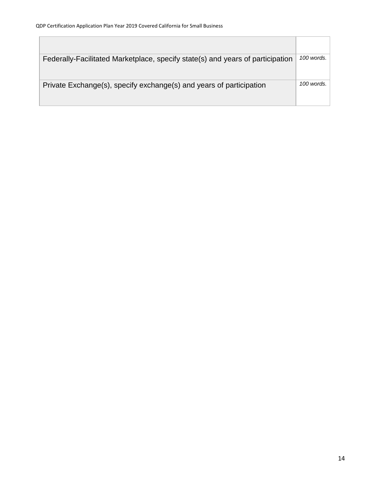| Federally-Facilitated Marketplace, specify state(s) and years of participation | 100 words. |
|--------------------------------------------------------------------------------|------------|
| Private Exchange(s), specify exchange(s) and years of participation            | 100 words. |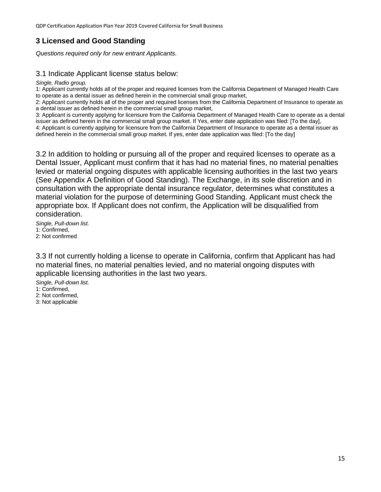## <span id="page-14-0"></span>**3 Licensed and Good Standing**

*Questions required only for new entrant Applicants.*

#### 3.1 Indicate Applicant license status below:

*Single, Radio group.*

1: Applicant currently holds all of the proper and required licenses from the California Department of Managed Health Care to operate as a dental issuer as defined herein in the commercial small group market,

2: Applicant currently holds all of the proper and required licenses from the California Department of Insurance to operate as a dental issuer as defined herein in the commercial small group market,

3: Applicant is currently applying for licensure from the California Department of Managed Health Care to operate as a dental issuer as defined herein in the commercial small group market. If Yes, enter date application was filed: [To the day], 4: Applicant is currently applying for licensure from the California Department of Insurance to operate as a dental issuer as

defined herein in the commercial small group market. If yes, enter date application was filed: [To the day]

3.2 In addition to holding or pursuing all of the proper and required licenses to operate as a Dental Issuer, Applicant must confirm that it has had no material fines, no material penalties levied or material ongoing disputes with applicable licensing authorities in the last two years (See Appendix A Definition of Good Standing). The Exchange, in its sole discretion and in consultation with the appropriate dental insurance regulator, determines what constitutes a material violation for the purpose of determining Good Standing. Applicant must check the appropriate box. If Applicant does not confirm, the Application will be disqualified from consideration.

*Single, Pull-down list.* 1: Confirmed, 2: Not confirmed

3.3 If not currently holding a license to operate in California, confirm that Applicant has had no material fines, no material penalties levied, and no material ongoing disputes with applicable licensing authorities in the last two years.

*Single, Pull-down list.*

1: Confirmed,

2: Not confirmed,

3: Not applicable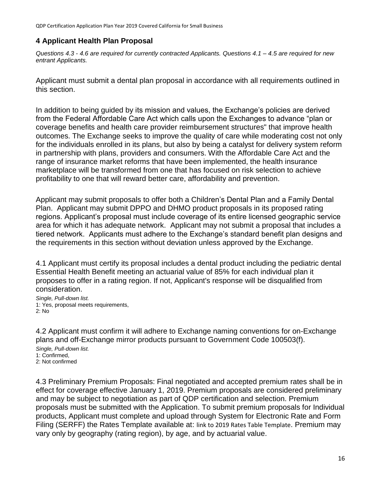# <span id="page-15-0"></span>**4 Applicant Health Plan Proposal**

*Questions 4.3 - 4.6 are required for currently contracted Applicants. Questions 4.1 – 4.5 are required for new entrant Applicants.*

Applicant must submit a dental plan proposal in accordance with all requirements outlined in this section.

In addition to being guided by its mission and values, the Exchange's policies are derived from the Federal Affordable Care Act which calls upon the Exchanges to advance "plan or coverage benefits and health care provider reimbursement structures" that improve health outcomes. The Exchange seeks to improve the quality of care while moderating cost not only for the individuals enrolled in its plans, but also by being a catalyst for delivery system reform in partnership with plans, providers and consumers. With the Affordable Care Act and the range of insurance market reforms that have been implemented, the health insurance marketplace will be transformed from one that has focused on risk selection to achieve profitability to one that will reward better care, affordability and prevention.

Applicant may submit proposals to offer both a Children's Dental Plan and a Family Dental Plan. Applicant may submit DPPO and DHMO product proposals in its proposed rating regions. Applicant's proposal must include coverage of its entire licensed geographic service area for which it has adequate network. Applicant may not submit a proposal that includes a tiered network. Applicants must adhere to the Exchange's standard benefit plan designs and the requirements in this section without deviation unless approved by the Exchange.

4.1 Applicant must certify its proposal includes a dental product including the pediatric dental Essential Health Benefit meeting an actuarial value of 85% for each individual plan it proposes to offer in a rating region. If not, Applicant's response will be disqualified from consideration.

*Single, Pull-down list.* 1: Yes, proposal meets requirements, 2: No

4.2 Applicant must confirm it will adhere to Exchange naming conventions for on-Exchange plans and off-Exchange mirror products pursuant to Government Code 100503(f).

*Single, Pull-down list.* 1: Confirmed, 2: Not confirmed

4.3 Preliminary Premium Proposals: Final negotiated and accepted premium rates shall be in effect for coverage effective January 1, 2019. Premium proposals are considered preliminary and may be subject to negotiation as part of QDP certification and selection. Premium proposals must be submitted with the Application. To submit premium proposals for Individual products, Applicant must complete and upload through System for Electronic Rate and Form Filing (SERFF) the Rates Template available at: link to 2019 Rates Table Template. Premium may vary only by geography (rating region), by age, and by actuarial value.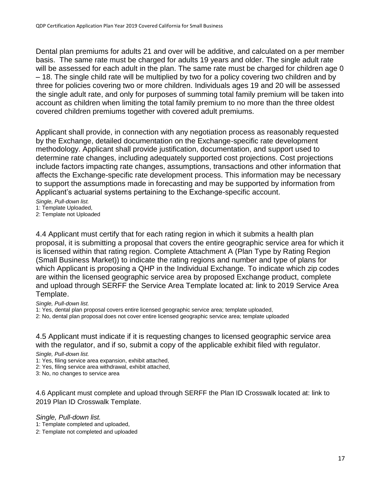Dental plan premiums for adults 21 and over will be additive, and calculated on a per member basis. The same rate must be charged for adults 19 years and older. The single adult rate will be assessed for each adult in the plan. The same rate must be charged for children age 0 – 18. The single child rate will be multiplied by two for a policy covering two children and by three for policies covering two or more children. Individuals ages 19 and 20 will be assessed the single adult rate, and only for purposes of summing total family premium will be taken into account as children when limiting the total family premium to no more than the three oldest covered children premiums together with covered adult premiums.

Applicant shall provide, in connection with any negotiation process as reasonably requested by the Exchange, detailed documentation on the Exchange-specific rate development methodology. Applicant shall provide justification, documentation, and support used to determine rate changes, including adequately supported cost projections. Cost projections include factors impacting rate changes, assumptions, transactions and other information that affects the Exchange-specific rate development process. This information may be necessary to support the assumptions made in forecasting and may be supported by information from Applicant's actuarial systems pertaining to the Exchange-specific account.

*Single, Pull-down list.*

1: Template Uploaded,

2: Template not Uploaded

4.4 Applicant must certify that for each rating region in which it submits a health plan proposal, it is submitting a proposal that covers the entire geographic service area for which it is licensed within that rating region. Complete Attachment A (Plan Type by Rating Region (Small Business Market)) to indicate the rating regions and number and type of plans for which Applicant is proposing a QHP in the Individual Exchange. To indicate which zip codes are within the licensed geographic service area by proposed Exchange product, complete and upload through SERFF the Service Area Template located at: link to 2019 Service Area Template.

#### *Single, Pull-down list.*

1: Yes, dental plan proposal covers entire licensed geographic service area; template uploaded,

2: No, dental plan proposal does not cover entire licensed geographic service area; template uploaded

4.5 Applicant must indicate if it is requesting changes to licensed geographic service area with the regulator, and if so, submit a copy of the applicable exhibit filed with regulator.

*Single, Pull-down list.*

1: Yes, filing service area expansion, exhibit attached,

2: Yes, filing service area withdrawal, exhibit attached,

3: No, no changes to service area

4.6 Applicant must complete and upload through SERFF the Plan ID Crosswalk located at: link to 2019 Plan ID Crosswalk Template.

*Single, Pull-down list.* 1: Template completed and uploaded,

2: Template not completed and uploaded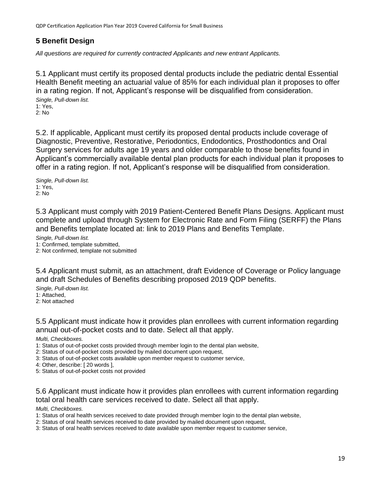### <span id="page-18-0"></span>**5 Benefit Design**

*All questions are required for currently contracted Applicants and new entrant Applicants.*

5.1 Applicant must certify its proposed dental products include the pediatric dental Essential Health Benefit meeting an actuarial value of 85% for each individual plan it proposes to offer in a rating region. If not, Applicant's response will be disqualified from consideration. *Single, Pull-down list.*

1: Yes, 2: No

5.2. If applicable, Applicant must certify its proposed dental products include coverage of Diagnostic, Preventive, Restorative, Periodontics, Endodontics, Prosthodontics and Oral Surgery services for adults age 19 years and older comparable to those benefits found in Applicant's commercially available dental plan products for each individual plan it proposes to offer in a rating region. If not, Applicant's response will be disqualified from consideration.

*Single, Pull-down list.* 1: Yes, 2: No

5.3 Applicant must comply with 2019 Patient-Centered Benefit Plans Designs. Applicant must complete and upload through System for Electronic Rate and Form Filing (SERFF) the Plans and Benefits template located at: link to 2019 Plans and Benefits Template.

*Single, Pull-down list.* 1: Confirmed, template submitted, 2: Not confirmed, template not submitted

5.4 Applicant must submit, as an attachment, draft Evidence of Coverage or Policy language and draft Schedules of Benefits describing proposed 2019 QDP benefits.

*Single, Pull-down list.* 1: Attached, 2: Not attached

5.5 Applicant must indicate how it provides plan enrollees with current information regarding annual out-of-pocket costs and to date. Select all that apply.

*Multi, Checkboxes.*

- 1: Status of out-of-pocket costs provided through member login to the dental plan website,
- 2: Status of out-of-pocket costs provided by mailed document upon request,
- 3: Status of out-of-pocket costs available upon member request to customer service,

4: Other, describe: [ 20 words ],

5: Status of out-of-pocket costs not provided

5.6 Applicant must indicate how it provides plan enrollees with current information regarding total oral health care services received to date. Select all that apply.

#### *Multi, Checkboxes.*

1: Status of oral health services received to date provided through member login to the dental plan website,

2: Status of oral health services received to date provided by mailed document upon request,

3: Status of oral health services received to date available upon member request to customer service,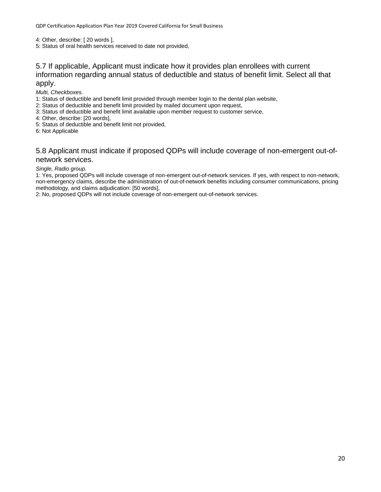4: Other, describe: [ 20 words ],

5: Status of oral health services received to date not provided,

### 5.7 If applicable, Applicant must indicate how it provides plan enrollees with current information regarding annual status of deductible and status of benefit limit. Select all that apply.

*Multi, Checkboxes.*

- 1: Status of deductible and benefit limit provided through member login to the dental plan website,
- 2: Status of deductible and benefit limit provided by mailed document upon request,
- 3: Status of deductible and benefit limit available upon member request to customer service,
- 4: Other, describe: [20 words],
- 5: Status of deductible and benefit limit not provided,
- 6: Not Applicable

#### 5.8 Applicant must indicate if proposed QDPs will include coverage of non-emergent out-ofnetwork services.

*Single, Radio group.*

1: Yes, proposed QDPs will include coverage of non-emergent out-of-network services. If yes, with respect to non-network, non-emergency claims, describe the administration of out-of-network benefits including consumer communications, pricing methodology, and claims adjudication: [50 words],

2: No, proposed QDPs will not include coverage of non-emergent out-of-network services.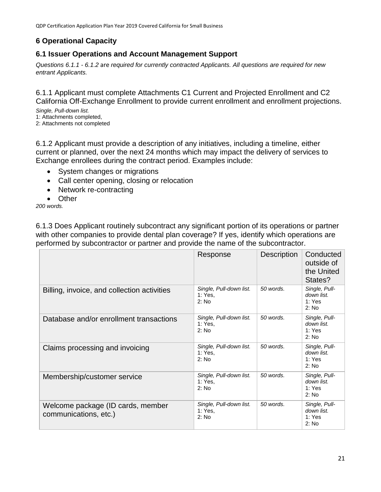# <span id="page-20-0"></span>**6 Operational Capacity**

### <span id="page-20-1"></span>**6.1 Issuer Operations and Account Management Support**

*Questions 6.1.1 - 6.1.2* are *required for currently contracted Applicants. All questions are required for new entrant Applicants.*

6.1.1 Applicant must complete Attachments C1 Current and Projected Enrollment and C2 California Off-Exchange Enrollment to provide current enrollment and enrollment projections.

*Single, Pull-down list.* 1: Attachments completed, 2: Attachments not completed

6.1.2 Applicant must provide a description of any initiatives, including a timeline, either current or planned, over the next 24 months which may impact the delivery of services to Exchange enrollees during the contract period. Examples include:

- System changes or migrations
- Call center opening, closing or relocation
- Network re-contracting
- Other

*200 words.*

6.1.3 Does Applicant routinely subcontract any significant portion of its operations or partner with other companies to provide dental plan coverage? If yes, identify which operations are performed by subcontractor or partner and provide the name of the subcontractor.

|                                                            | Response                                    | <b>Description</b> | Conducted<br>outside of<br>the United<br>States? |
|------------------------------------------------------------|---------------------------------------------|--------------------|--------------------------------------------------|
| Billing, invoice, and collection activities                | Single, Pull-down list.<br>1: Yes.<br>2: No | 50 words.          | Single, Pull-<br>down list.<br>1: Yes<br>2: No   |
| Database and/or enrollment transactions                    | Single, Pull-down list.<br>1: Yes,<br>2: No | $50$ words.        | Single, Pull-<br>down list.<br>1: Yes<br>2: No   |
| Claims processing and invoicing                            | Single, Pull-down list.<br>1: Yes.<br>2: No | 50 words.          | Single, Pull-<br>down list.<br>1: Yes<br>2: No   |
| Membership/customer service                                | Single, Pull-down list.<br>1: Yes,<br>2: No | 50 words.          | Single, Pull-<br>down list.<br>1: Yes<br>2: No   |
| Welcome package (ID cards, member<br>communications, etc.) | Single, Pull-down list.<br>1: Yes.<br>2: No | 50 words.          | Single, Pull-<br>down list.<br>1: Yes<br>2: No   |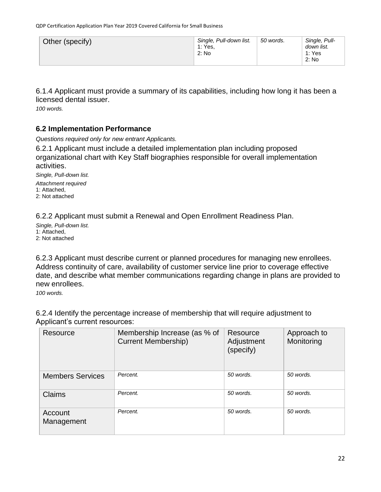6.1.4 Applicant must provide a summary of its capabilities, including how long it has been a licensed dental issuer.

*100 words.*

### <span id="page-21-0"></span>**6.2 Implementation Performance**

*Questions required only for new entrant Applicants.*

6.2.1 Applicant must include a detailed implementation plan including proposed organizational chart with Key Staff biographies responsible for overall implementation activities.

*Single, Pull-down list. Attachment required* 1: Attached, 2: Not attached

6.2.2 Applicant must submit a Renewal and Open Enrollment Readiness Plan.

*Single, Pull-down list.* 1: Attached, 2: Not attached

6.2.3 Applicant must describe current or planned procedures for managing new enrollees. Address continuity of care, availability of customer service line prior to coverage effective date, and describe what member communications regarding change in plans are provided to new enrollees.

*100 words.*

6.2.4 Identify the percentage increase of membership that will require adjustment to Applicant's current resources:

| Resource                | Membership Increase (as % of<br><b>Current Membership)</b> | Resource<br>Adjustment<br>(specify) | Approach to<br>Monitoring |
|-------------------------|------------------------------------------------------------|-------------------------------------|---------------------------|
| <b>Members Services</b> | Percent.                                                   | 50 words.                           | 50 words.                 |
| Claims                  | Percent.                                                   | 50 words.                           | 50 words.                 |
| Account<br>Management   | Percent.                                                   | 50 words.                           | 50 words.                 |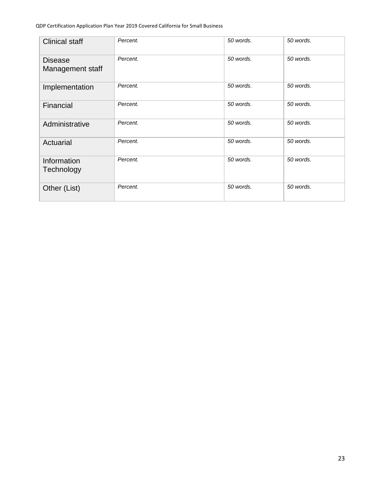| <b>Clinical staff</b>              | Percent. | 50 words. | 50 words. |
|------------------------------------|----------|-----------|-----------|
| <b>Disease</b><br>Management staff | Percent. | 50 words. | 50 words. |
| Implementation                     | Percent. | 50 words. | 50 words. |
| Financial                          | Percent. | 50 words. | 50 words. |
| Administrative                     | Percent. | 50 words. | 50 words. |
| Actuarial                          | Percent. | 50 words. | 50 words. |
| Information<br>Technology          | Percent. | 50 words. | 50 words. |
| Other (List)                       | Percent. | 50 words. | 50 words. |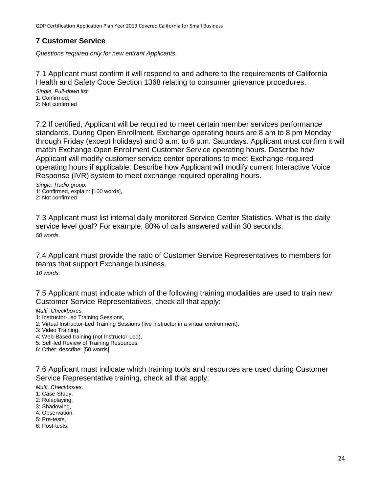### <span id="page-23-0"></span>**7 Customer Service**

*Questions required only for new entrant Applicants.*

7.1 Applicant must confirm it will respond to and adhere to the requirements of California Health and Safety Code Section 1368 relating to consumer grievance procedures. *Single, Pull-down list.*

1: Confirmed, 2: Not confirmed

7.2 If certified, Applicant will be required to meet certain member services performance standards. During Open Enrollment, Exchange operating hours are 8 am to 8 pm Monday through Friday (except holidays) and 8 a.m. to 6 p.m. Saturdays. Applicant must confirm it will match Exchange Open Enrollment Customer Service operating hours. Describe how Applicant will modify customer service center operations to meet Exchange-required operating hours if applicable. Describe how Applicant will modify current Interactive Voice Response (IVR) system to meet exchange required operating hours.

*Single, Radio group.*

1: Confirmed, explain: [100 words],

2: Not confirmed

7.3 Applicant must list internal daily monitored Service Center Statistics. What is the daily service level goal? For example, 80% of calls answered within 30 seconds. *50 words.*

7.4 Applicant must provide the ratio of Customer Service Representatives to members for teams that support Exchange business. *10 words.*

7.5 Applicant must indicate which of the following training modalities are used to train new Customer Service Representatives, check all that apply:

*Multi, Checkboxes.*

- 1: Instructor-Led Training Sessions,
- 2: Virtual Instructor-Led Training Sessions (live instructor in a virtual environment),
- 3: Video Training,
- 4: Web-Based training (not Instructor-Led),
- 5: Self-led Review of Training Resources,

6: Other, describe: [50 words]

7.6 Applicant must indicate which training tools and resources are used during Customer Service Representative training, check all that apply:

*Multi, Checkboxes.*

- 1: Case-Study,
- 2: Roleplaying,
- 3: Shadowing,
- 4: Observation,
- 5: Pre-tests,
- 6: Post-tests,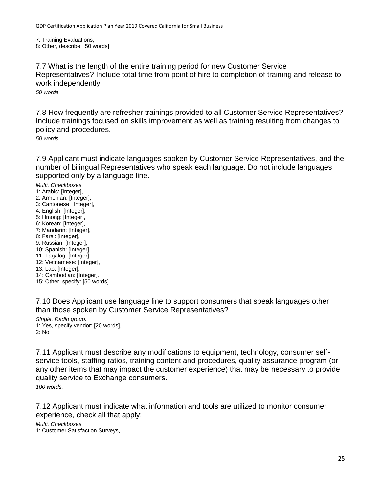7: Training Evaluations, 8: Other, describe: [50 words]

7.7 What is the length of the entire training period for new Customer Service Representatives? Include total time from point of hire to completion of training and release to work independently.

*50 words.*

7.8 How frequently are refresher trainings provided to all Customer Service Representatives? Include trainings focused on skills improvement as well as training resulting from changes to policy and procedures.

*50 words.*

7.9 Applicant must indicate languages spoken by Customer Service Representatives, and the number of bilingual Representatives who speak each language. Do not include languages supported only by a language line.

*Multi, Checkboxes.*

- 1: Arabic: [Integer],
- 2: Armenian: [Integer],
- 3: Cantonese: [Integer],
- 4: English: [Integer], 5: Hmong: [Integer],
- 6: Korean: [Integer],
- 7: Mandarin: [Integer],
- 8: Farsi: [Integer],
- 9: Russian: [Integer],
- 10: Spanish: [Integer],
- 11: Tagalog: [Integer],
- 12: Vietnamese: [Integer],
- 13: Lao: [Integer],
- 14: Cambodian: [Integer],
- 15: Other, specify: [50 words]

7.10 Does Applicant use language line to support consumers that speak languages other than those spoken by Customer Service Representatives?

*Single, Radio group.* 1: Yes, specify vendor: [20 words], 2: No

7.11 Applicant must describe any modifications to equipment, technology, consumer selfservice tools, staffing ratios, training content and procedures, quality assurance program (or any other items that may impact the customer experience) that may be necessary to provide quality service to Exchange consumers. *100 words.*

7.12 Applicant must indicate what information and tools are utilized to monitor consumer experience, check all that apply:

*Multi, Checkboxes.* 1: Customer Satisfaction Surveys,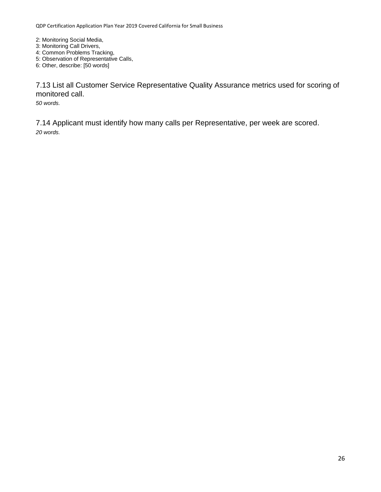2: Monitoring Social Media,

- 3: Monitoring Call Drivers,
- 4: Common Problems Tracking,
- 5: Observation of Representative Calls,
- 6: Other, describe: [50 words]

7.13 List all Customer Service Representative Quality Assurance metrics used for scoring of monitored call.

*50 words.*

7.14 Applicant must identify how many calls per Representative, per week are scored. *20 words.*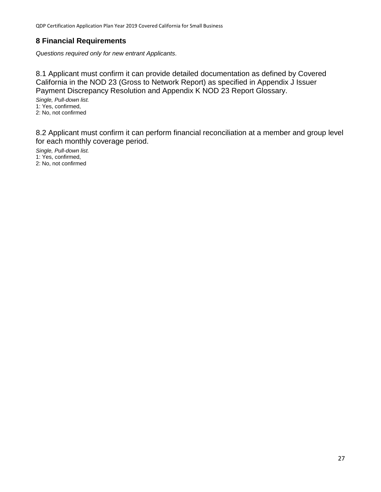### <span id="page-26-0"></span>**8 Financial Requirements**

*Questions required only for new entrant Applicants.*

8.1 Applicant must confirm it can provide detailed documentation as defined by Covered California in the NOD 23 (Gross to Network Report) as specified in Appendix J Issuer Payment Discrepancy Resolution and Appendix K NOD 23 Report Glossary.

*Single, Pull-down list.* 1: Yes, confirmed, 2: No, not confirmed

8.2 Applicant must confirm it can perform financial reconciliation at a member and group level for each monthly coverage period.

*Single, Pull-down list.* 1: Yes, confirmed, 2: No, not confirmed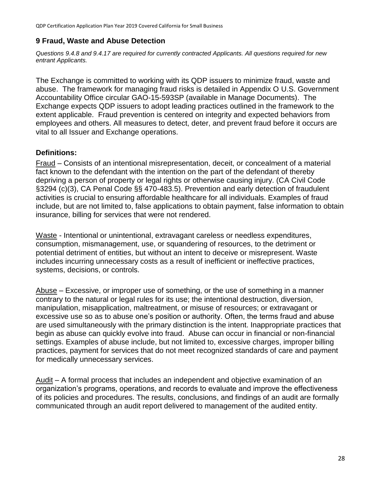### <span id="page-27-0"></span>**9 Fraud, Waste and Abuse Detection**

*Questions 9.4.8 and 9.4.17 are required for currently contracted Applicants. All questions required for new entrant Applicants.*

The Exchange is committed to working with its QDP issuers to minimize fraud, waste and abuse. The framework for managing fraud risks is detailed in Appendix O U.S. Government Accountability Office circular GAO-15-593SP (available in Manage Documents). The Exchange expects QDP issuers to adopt leading practices outlined in the framework to the extent applicable. Fraud prevention is centered on integrity and expected behaviors from employees and others. All measures to detect, deter, and prevent fraud before it occurs are vital to all Issuer and Exchange operations.

### **Definitions:**

Fraud – Consists of an intentional misrepresentation, deceit, or concealment of a material fact known to the defendant with the intention on the part of the defendant of thereby depriving a person of property or legal rights or otherwise causing injury. (CA Civil Code §3294 (c)(3), CA Penal Code §§ 470-483.5). Prevention and early detection of fraudulent activities is crucial to ensuring affordable healthcare for all individuals. Examples of fraud include, but are not limited to, false applications to obtain payment, false information to obtain insurance, billing for services that were not rendered.

Waste - Intentional or unintentional, extravagant careless or needless expenditures, consumption, mismanagement, use, or squandering of resources, to the detriment or potential detriment of entities, but without an intent to deceive or misrepresent. Waste includes incurring unnecessary costs as a result of inefficient or ineffective practices, systems, decisions, or controls.

Abuse – Excessive, or improper use of something, or the use of something in a manner contrary to the natural or legal rules for its use; the intentional destruction, diversion, manipulation, misapplication, maltreatment, or misuse of resources; or extravagant or excessive use so as to abuse one's position or authority. Often, the terms fraud and abuse are used simultaneously with the primary distinction is the intent. Inappropriate practices that begin as abuse can quickly evolve into fraud. Abuse can occur in financial or non-financial settings. Examples of abuse include, but not limited to, excessive charges, improper billing practices, payment for services that do not meet recognized standards of care and payment for medically unnecessary services.

Audit – A formal process that includes an independent and objective examination of an organization's programs, operations, and records to evaluate and improve the effectiveness of its policies and procedures. The results, conclusions, and findings of an audit are formally communicated through an audit report delivered to management of the audited entity.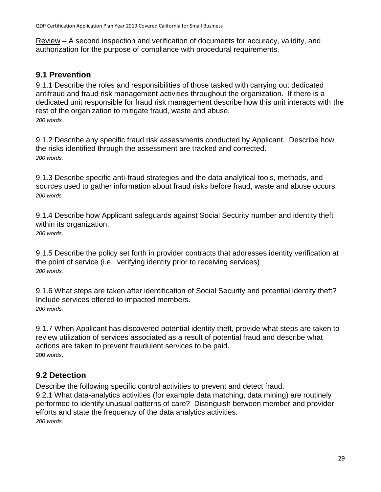Review – A second inspection and verification of documents for accuracy, validity, and authorization for the purpose of compliance with procedural requirements.

# <span id="page-28-0"></span>**9.1 Prevention**

9.1.1 Describe the roles and responsibilities of those tasked with carrying out dedicated antifraud and fraud risk management activities throughout the organization. If there is a dedicated unit responsible for fraud risk management describe how this unit interacts with the rest of the organization to mitigate fraud, waste and abuse. *200 words.*

9.1.2 Describe any specific fraud risk assessments conducted by Applicant. Describe how the risks identified through the assessment are tracked and corrected. *200 words.*

9.1.3 Describe specific anti-fraud strategies and the data analytical tools, methods, and sources used to gather information about fraud risks before fraud, waste and abuse occurs. *200 words.*

9.1.4 Describe how Applicant safeguards against Social Security number and identity theft within its organization. *200 words.*

9.1.5 Describe the policy set forth in provider contracts that addresses identity verification at the point of service (i.e., verifying identity prior to receiving services) *200 words.*

9.1.6 What steps are taken after identification of Social Security and potential identity theft? Include services offered to impacted members. *200 words.*

9.1.7 When Applicant has discovered potential identity theft, provide what steps are taken to review utilization of services associated as a result of potential fraud and describe what actions are taken to prevent fraudulent services to be paid. 200 words.

# <span id="page-28-1"></span>**9.2 Detection**

Describe the following specific control activities to prevent and detect fraud. 9.2.1 What data-analytics activities (for example data matching, data mining) are routinely performed to identify unusual patterns of care? Distinguish between member and provider efforts and state the frequency of the data analytics activities. *200 words.*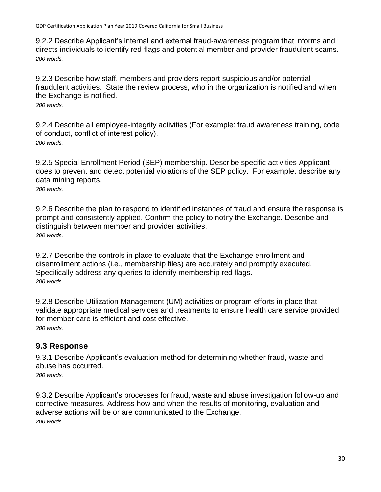9.2.2 Describe Applicant's internal and external fraud-awareness program that informs and directs individuals to identify red-flags and potential member and provider fraudulent scams. *200 words.*

9.2.3 Describe how staff, members and providers report suspicious and/or potential fraudulent activities. State the review process, who in the organization is notified and when the Exchange is notified.

*200 words.*

9.2.4 Describe all employee-integrity activities (For example: fraud awareness training, code of conduct, conflict of interest policy). *200 words.*

9.2.5 Special Enrollment Period (SEP) membership. Describe specific activities Applicant does to prevent and detect potential violations of the SEP policy. For example, describe any data mining reports.

*200 words.*

9.2.6 Describe the plan to respond to identified instances of fraud and ensure the response is prompt and consistently applied. Confirm the policy to notify the Exchange. Describe and distinguish between member and provider activities. *200 words.*

9.2.7 Describe the controls in place to evaluate that the Exchange enrollment and disenrollment actions (i.e., membership files) are accurately and promptly executed. Specifically address any queries to identify membership red flags. *200 words.*

9.2.8 Describe Utilization Management (UM) activities or program efforts in place that validate appropriate medical services and treatments to ensure health care service provided for member care is efficient and cost effective. *200 words.*

# <span id="page-29-0"></span>**9.3 Response**

9.3.1 Describe Applicant's evaluation method for determining whether fraud, waste and abuse has occurred.

*200 words.*

9.3.2 Describe Applicant's processes for fraud, waste and abuse investigation follow-up and corrective measures. Address how and when the results of monitoring, evaluation and adverse actions will be or are communicated to the Exchange. *200 words.*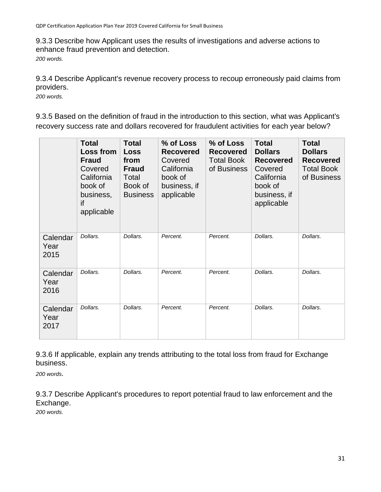9.3.3 Describe how Applicant uses the results of investigations and adverse actions to enhance fraud prevention and detection. *200 words.*

9.3.4 Describe Applicant's revenue recovery process to recoup erroneously paid claims from providers.

*200 words.*

9.3.5 Based on the definition of fraud in the introduction to this section, what was Applicant's recovery success rate and dollars recovered for fraudulent activities for each year below?

|                          | <b>Total</b><br><b>Loss from</b><br><b>Fraud</b><br>Covered<br>California<br>book of<br>business,<br>if<br>applicable | <b>Total</b><br>Loss<br>from<br><b>Fraud</b><br>Total<br>Book of<br><b>Business</b> | % of Loss<br><b>Recovered</b><br>Covered<br>California<br>book of<br>business, if<br>applicable | % of Loss<br><b>Recovered</b><br><b>Total Book</b><br>of Business | <b>Total</b><br><b>Dollars</b><br><b>Recovered</b><br>Covered<br>California<br>book of<br>business, if<br>applicable | <b>Total</b><br><b>Dollars</b><br><b>Recovered</b><br><b>Total Book</b><br>of Business |
|--------------------------|-----------------------------------------------------------------------------------------------------------------------|-------------------------------------------------------------------------------------|-------------------------------------------------------------------------------------------------|-------------------------------------------------------------------|----------------------------------------------------------------------------------------------------------------------|----------------------------------------------------------------------------------------|
| Calendar<br>Year<br>2015 | Dollars.                                                                                                              | Dollars.                                                                            | Percent.                                                                                        | Percent.                                                          | Dollars.                                                                                                             | Dollars.                                                                               |
| Calendar<br>Year<br>2016 | Dollars.                                                                                                              | Dollars.                                                                            | Percent.                                                                                        | Percent.                                                          | Dollars.                                                                                                             | Dollars.                                                                               |
| Calendar<br>Year<br>2017 | Dollars.                                                                                                              | Dollars.                                                                            | Percent.                                                                                        | Percent.                                                          | Dollars.                                                                                                             | Dollars.                                                                               |

9.3.6 If applicable, explain any trends attributing to the total loss from fraud for Exchange business.

*200 words.*

9.3.7 Describe Applicant's procedures to report potential fraud to law enforcement and the Exchange.

*200 words.*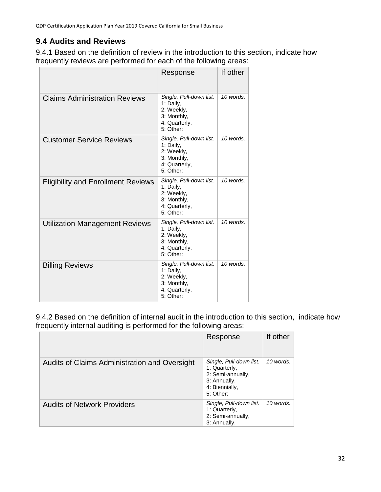# <span id="page-31-0"></span>**9.4 Audits and Reviews**

9.4.1 Based on the definition of review in the introduction to this section, indicate how frequently reviews are performed for each of the following areas:

|                                           | Response                                                                                        | If other  |
|-------------------------------------------|-------------------------------------------------------------------------------------------------|-----------|
| <b>Claims Administration Reviews</b>      | Single, Pull-down list.<br>1: Daily,<br>2: Weekly,<br>3: Monthly,<br>4: Quarterly,<br>5: Other: | 10 words. |
| <b>Customer Service Reviews</b>           | Single, Pull-down list.<br>1: Daily,<br>2: Weekly,<br>3: Monthly,<br>4: Quarterly,<br>5: Other: | 10 words. |
| <b>Eligibility and Enrollment Reviews</b> | Single, Pull-down list.<br>1: Daily,<br>2: Weekly,<br>3: Monthly,<br>4: Quarterly,<br>5: Other: | 10 words. |
| Utilization Management Reviews            | Single, Pull-down list.<br>1: Daily,<br>2: Weekly,<br>3: Monthly,<br>4: Quarterly,<br>5: Other: | 10 words. |
| <b>Billing Reviews</b>                    | Single, Pull-down list.<br>1: Daily,<br>2: Weekly,<br>3: Monthly,<br>4: Quarterly,<br>5: Other: | 10 words. |

9.4.2 Based on the definition of internal audit in the introduction to this section, indicate how frequently internal auditing is performed for the following areas:

|                                               | Response                                                                                                     | If other  |
|-----------------------------------------------|--------------------------------------------------------------------------------------------------------------|-----------|
| Audits of Claims Administration and Oversight | Single, Pull-down list.<br>1: Quarterly,<br>2: Semi-annually,<br>3: Annually,<br>4: Biennially,<br>5: Other: | 10 words. |
| <b>Audits of Network Providers</b>            | Single, Pull-down list.<br>1: Quarterly,<br>2: Semi-annually,<br>3: Annually,                                | 10 words. |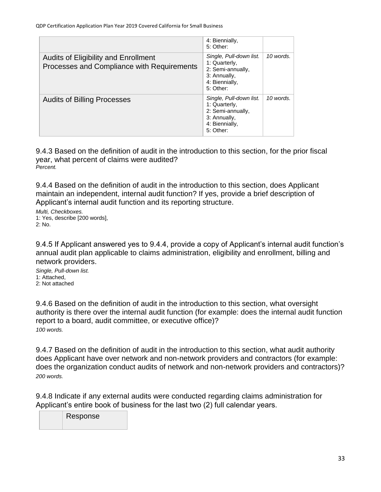|                                                                                    | 4: Biennially,<br>5: Other:                                                                                  |           |
|------------------------------------------------------------------------------------|--------------------------------------------------------------------------------------------------------------|-----------|
| Audits of Eligibility and Enrollment<br>Processes and Compliance with Requirements | Single, Pull-down list.<br>1: Quarterly,<br>2: Semi-annually,<br>3: Annually,<br>4: Biennially,<br>5: Other: | 10 words. |
| <b>Audits of Billing Processes</b>                                                 | Single, Pull-down list.<br>1: Quarterly,<br>2: Semi-annually,<br>3: Annually,<br>4: Biennially,<br>5: Other: | 10 words. |

9.4.3 Based on the definition of audit in the introduction to this section, for the prior fiscal year, what percent of claims were audited? *Percent.*

9.4.4 Based on the definition of audit in the introduction to this section, does Applicant maintain an independent, internal audit function? If yes, provide a brief description of Applicant's internal audit function and its reporting structure.

*Multi, Checkboxes.* 1: Yes, describe [200 words], 2: No.

9.4.5 If Applicant answered yes to 9.4.4, provide a copy of Applicant's internal audit function's annual audit plan applicable to claims administration, eligibility and enrollment, billing and network providers.

*Single, Pull-down list.* 1: Attached, 2: Not attached

9.4.6 Based on the definition of audit in the introduction to this section, what oversight authority is there over the internal audit function (for example: does the internal audit function report to a board, audit committee, or executive office)? *100 words.*

9.4.7 Based on the definition of audit in the introduction to this section, what audit authority does Applicant have over network and non-network providers and contractors (for example: does the organization conduct audits of network and non-network providers and contractors)? *200 words.*

9.4.8 Indicate if any external audits were conducted regarding claims administration for Applicant's entire book of business for the last two (2) full calendar years.

Response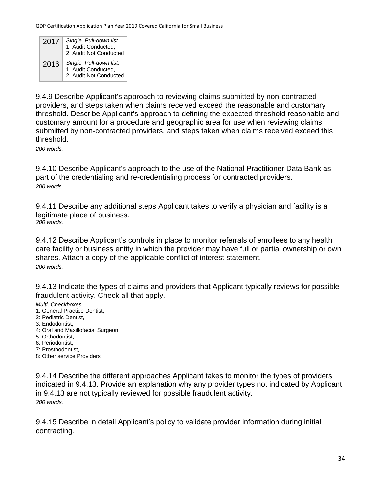| 2017 | Single, Pull-down list.<br>1: Audit Conducted,<br>2: Audit Not Conducted |
|------|--------------------------------------------------------------------------|
| 2016 | Single, Pull-down list.<br>1: Audit Conducted,<br>2: Audit Not Conducted |

9.4.9 Describe Applicant's approach to reviewing claims submitted by non-contracted providers, and steps taken when claims received exceed the reasonable and customary threshold. Describe Applicant's approach to defining the expected threshold reasonable and customary amount for a procedure and geographic area for use when reviewing claims submitted by non-contracted providers, and steps taken when claims received exceed this threshold.

*200 words.*

9.4.10 Describe Applicant's approach to the use of the National Practitioner Data Bank as part of the credentialing and re-credentialing process for contracted providers. *200 words.*

9.4.11 Describe any additional steps Applicant takes to verify a physician and facility is a legitimate place of business. *200 words.*

9.4.12 Describe Applicant's controls in place to monitor referrals of enrollees to any health care facility or business entity in which the provider may have full or partial ownership or own shares. Attach a copy of the applicable conflict of interest statement. *200 words.*

9.4.13 Indicate the types of claims and providers that Applicant typically reviews for possible fraudulent activity. Check all that apply.

*Multi, Checkboxes.*

- 1: General Practice Dentist,
- 2: Pediatric Dentist,
- 3: Endodontist,
- 4: Oral and Maxillofacial Surgeon,
- 5: Orthodontist,
- 6: Periodontist,
- 7: Prosthodontist,
- 8: Other service Providers

9.4.14 Describe the different approaches Applicant takes to monitor the types of providers indicated in 9.4.13. Provide an explanation why any provider types not indicated by Applicant in 9.4.13 are not typically reviewed for possible fraudulent activity. *200 words.*

9.4.15 Describe in detail Applicant's policy to validate provider information during initial contracting.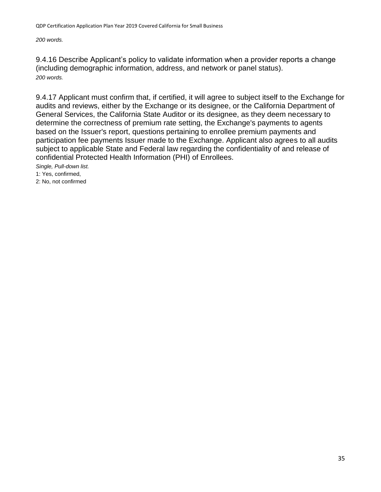*200 words.*

9.4.16 Describe Applicant's policy to validate information when a provider reports a change (including demographic information, address, and network or panel status). *200 words.*

9.4.17 Applicant must confirm that, if certified, it will agree to subject itself to the Exchange for audits and reviews, either by the Exchange or its designee, or the California Department of General Services, the California State Auditor or its designee, as they deem necessary to determine the correctness of premium rate setting, the Exchange's payments to agents based on the Issuer's report, questions pertaining to enrollee premium payments and participation fee payments Issuer made to the Exchange. Applicant also agrees to all audits subject to applicable State and Federal law regarding the confidentiality of and release of confidential Protected Health Information (PHI) of Enrollees.

*Single, Pull-down list.* 1: Yes, confirmed, 2: No, not confirmed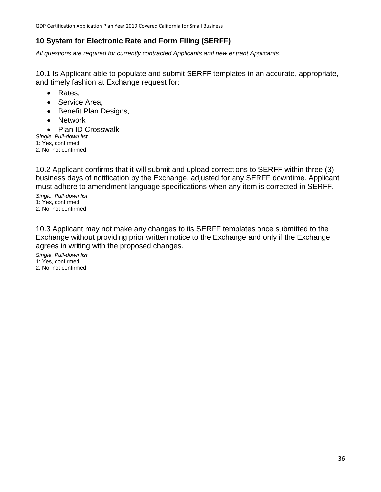### <span id="page-35-0"></span>**10 System for Electronic Rate and Form Filing (SERFF)**

*All questions are required for currently contracted Applicants and new entrant Applicants.*

10.1 Is Applicant able to populate and submit SERFF templates in an accurate, appropriate, and timely fashion at Exchange request for:

- Rates,
- Service Area,
- Benefit Plan Designs,
- Network
- Plan ID Crosswalk

*Single, Pull-down list.* 1: Yes, confirmed, 2: No, not confirmed

10.2 Applicant confirms that it will submit and upload corrections to SERFF within three (3) business days of notification by the Exchange, adjusted for any SERFF downtime. Applicant must adhere to amendment language specifications when any item is corrected in SERFF.

*Single, Pull-down list.* 1: Yes, confirmed, 2: No, not confirmed

10.3 Applicant may not make any changes to its SERFF templates once submitted to the Exchange without providing prior written notice to the Exchange and only if the Exchange agrees in writing with the proposed changes.

*Single, Pull-down list.* 1: Yes, confirmed, 2: No, not confirmed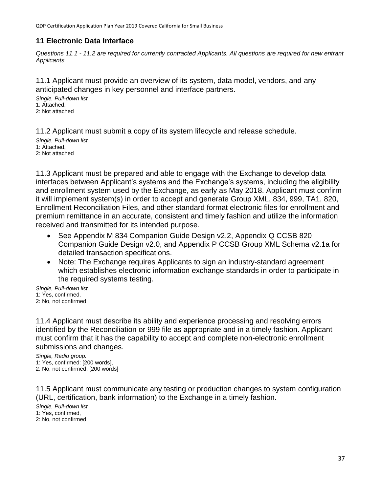### **11 Electronic Data Interface**

*Questions 11.1 - 11.2 are required for currently contracted Applicants. All questions are required for new entrant Applicants.*

11.1 Applicant must provide an overview of its system, data model, vendors, and any anticipated changes in key personnel and interface partners.

*Single, Pull-down list.* 1: Attached, 2: Not attached

11.2 Applicant must submit a copy of its system lifecycle and release schedule.

*Single, Pull-down list.* 1: Attached, 2: Not attached

11.3 Applicant must be prepared and able to engage with the Exchange to develop data interfaces between Applicant's systems and the Exchange's systems, including the eligibility and enrollment system used by the Exchange, as early as May 2018. Applicant must confirm it will implement system(s) in order to accept and generate Group XML, 834, 999, TA1, 820, Enrollment Reconciliation Files, and other standard format electronic files for enrollment and premium remittance in an accurate, consistent and timely fashion and utilize the information received and transmitted for its intended purpose.

- See Appendix M 834 Companion Guide Design v2.2, Appendix Q CCSB 820 Companion Guide Design v2.0, and Appendix P CCSB Group XML Schema v2.1a for detailed transaction specifications.
- Note: The Exchange requires Applicants to sign an industry-standard agreement which establishes electronic information exchange standards in order to participate in the required systems testing.

*Single, Pull-down list.* 1: Yes, confirmed, 2: No, not confirmed

11.4 Applicant must describe its ability and experience processing and resolving errors identified by the Reconciliation or 999 file as appropriate and in a timely fashion. Applicant must confirm that it has the capability to accept and complete non-electronic enrollment submissions and changes.

*Single, Radio group.* 1: Yes, confirmed: [200 words], 2: No, not confirmed: [200 words]

11.5 Applicant must communicate any testing or production changes to system configuration (URL, certification, bank information) to the Exchange in a timely fashion.

*Single, Pull-down list.*

1: Yes, confirmed,

2: No, not confirmed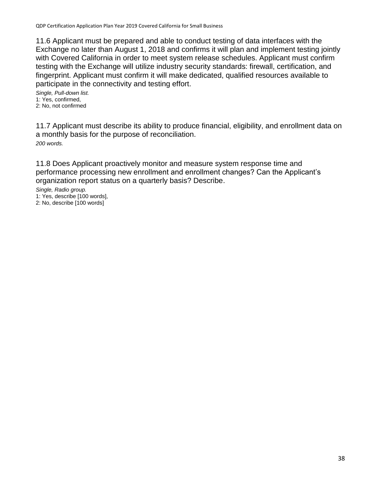11.6 Applicant must be prepared and able to conduct testing of data interfaces with the Exchange no later than August 1, 2018 and confirms it will plan and implement testing jointly with Covered California in order to meet system release schedules. Applicant must confirm testing with the Exchange will utilize industry security standards: firewall, certification, and fingerprint. Applicant must confirm it will make dedicated, qualified resources available to participate in the connectivity and testing effort.

*Single, Pull-down list.* 1: Yes, confirmed, 2: No, not confirmed

11.7 Applicant must describe its ability to produce financial, eligibility, and enrollment data on a monthly basis for the purpose of reconciliation. *200 words.*

11.8 Does Applicant proactively monitor and measure system response time and performance processing new enrollment and enrollment changes? Can the Applicant's organization report status on a quarterly basis? Describe.

*Single, Radio group.* 1: Yes, describe [100 words], 2: No, describe [100 words]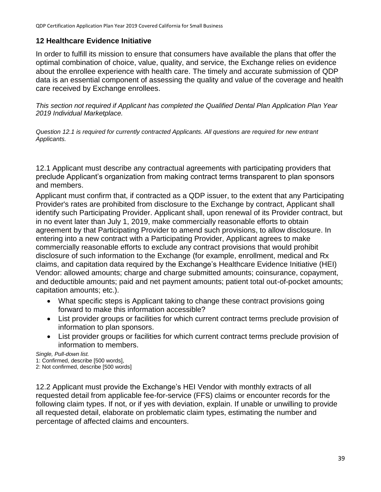#### **12 Healthcare Evidence Initiative**

In order to fulfill its mission to ensure that consumers have available the plans that offer the optimal combination of choice, value, quality, and service, the Exchange relies on evidence about the enrollee experience with health care. The timely and accurate submission of QDP data is an essential component of assessing the quality and value of the coverage and health care received by Exchange enrollees.

*This section not required if Applicant has completed the Qualified Dental Plan Application Plan Year 2019 Individual Marketplace.*

*Question 12.1 is required for currently contracted Applicants. All questions are required for new entrant Applicants.*

12.1 Applicant must describe any contractual agreements with participating providers that preclude Applicant's organization from making contract terms transparent to plan sponsors and members.

Applicant must confirm that, if contracted as a QDP issuer, to the extent that any Participating Provider's rates are prohibited from disclosure to the Exchange by contract, Applicant shall identify such Participating Provider. Applicant shall, upon renewal of its Provider contract, but in no event later than July 1, 2019, make commercially reasonable efforts to obtain agreement by that Participating Provider to amend such provisions, to allow disclosure. In entering into a new contract with a Participating Provider, Applicant agrees to make commercially reasonable efforts to exclude any contract provisions that would prohibit disclosure of such information to the Exchange (for example, enrollment, medical and Rx claims, and capitation data required by the Exchange's Healthcare Evidence Initiative (HEI) Vendor: allowed amounts; charge and charge submitted amounts; coinsurance, copayment, and deductible amounts; paid and net payment amounts; patient total out-of-pocket amounts; capitation amounts; etc.).

- What specific steps is Applicant taking to change these contract provisions going forward to make this information accessible?
- List provider groups or facilities for which current contract terms preclude provision of information to plan sponsors.
- List provider groups or facilities for which current contract terms preclude provision of information to members.

*Single, Pull-down list.*

1: Confirmed, describe [500 words],

2: Not confirmed, describe [500 words]

12.2 Applicant must provide the Exchange's HEI Vendor with monthly extracts of all requested detail from applicable fee-for-service (FFS) claims or encounter records for the following claim types. If not, or if yes with deviation, explain. If unable or unwilling to provide all requested detail, elaborate on problematic claim types, estimating the number and percentage of affected claims and encounters.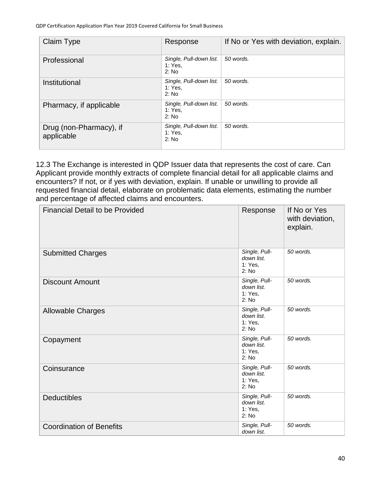| Claim Type                            | Response                                    | If No or Yes with deviation, explain. |
|---------------------------------------|---------------------------------------------|---------------------------------------|
| Professional                          | Single, Pull-down list.<br>1: Yes.<br>2: No | 50 words.                             |
| Institutional                         | Single, Pull-down list.<br>1: Yes.<br>2: No | 50 words.                             |
| Pharmacy, if applicable               | Single, Pull-down list.<br>1: Yes.<br>2: No | 50 words.                             |
| Drug (non-Pharmacy), if<br>applicable | Single, Pull-down list.<br>1: Yes.<br>2: No | 50 words.                             |

12.3 The Exchange is interested in QDP Issuer data that represents the cost of care. Can Applicant provide monthly extracts of complete financial detail for all applicable claims and encounters? If not, or if yes with deviation, explain. If unable or unwilling to provide all requested financial detail, elaborate on problematic data elements, estimating the number and percentage of affected claims and encounters.

| <b>Financial Detail to be Provided</b> | Response                                        | If No or Yes<br>with deviation,<br>explain. |
|----------------------------------------|-------------------------------------------------|---------------------------------------------|
| <b>Submitted Charges</b>               | Single, Pull-<br>down list.<br>1: Yes,<br>2: No | 50 words.                                   |
| <b>Discount Amount</b>                 | Single, Pull-<br>down list.<br>1: Yes.<br>2: No | 50 words.                                   |
| <b>Allowable Charges</b>               | Single, Pull-<br>down list.<br>1: Yes,<br>2: No | 50 words.                                   |
| Copayment                              | Single, Pull-<br>down list.<br>1: Yes,<br>2: No | 50 words.                                   |
| Coinsurance                            | Single, Pull-<br>down list.<br>1: Yes,<br>2: No | 50 words.                                   |
| <b>Deductibles</b>                     | Single, Pull-<br>down list.<br>1: Yes.<br>2: No | 50 words.                                   |
| <b>Coordination of Benefits</b>        | Single, Pull-<br>down list.                     | 50 words.                                   |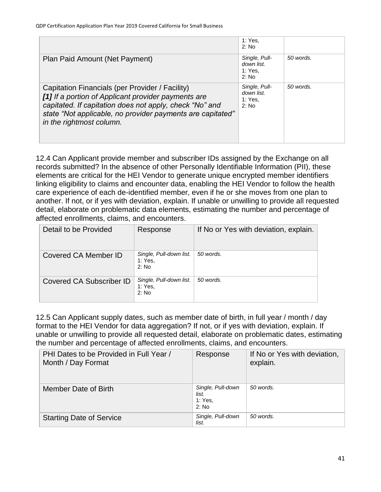|                                                                                                                                                                                                                                                             | 1: Yes,<br>2: No                                  |           |
|-------------------------------------------------------------------------------------------------------------------------------------------------------------------------------------------------------------------------------------------------------------|---------------------------------------------------|-----------|
| Plan Paid Amount (Net Payment)                                                                                                                                                                                                                              | Single, Pull-<br>down list.<br>1: Yes.<br>$2:$ No | 50 words. |
| Capitation Financials (per Provider / Facility)<br>[1] If a portion of Applicant provider payments are<br>capitated. If capitation does not apply, check "No" and<br>state "Not applicable, no provider payments are capitated"<br>in the rightmost column. | Single, Pull-<br>down list.<br>1: Yes.<br>$2:$ No | 50 words. |

12.4 Can Applicant provide member and subscriber IDs assigned by the Exchange on all records submitted? In the absence of other Personally Identifiable Information (PII), these elements are critical for the HEI Vendor to generate unique encrypted member identifiers linking eligibility to claims and encounter data, enabling the HEI Vendor to follow the health care experience of each de-identified member, even if he or she moves from one plan to another. If not, or if yes with deviation, explain. If unable or unwilling to provide all requested detail, elaborate on problematic data elements, estimating the number and percentage of affected enrollments, claims, and encounters.

| Detail to be Provided    | Response                                    | If No or Yes with deviation, explain. |
|--------------------------|---------------------------------------------|---------------------------------------|
| Covered CA Member ID     | Single, Pull-down list.<br>1: Yes.<br>2: No | 50 words.                             |
| Covered CA Subscriber ID | Single, Pull-down list.<br>1: Yes.<br>2: No | 50 words.                             |

12.5 Can Applicant supply dates, such as member date of birth, in full year / month / day format to the HEI Vendor for data aggregation? If not, or if yes with deviation, explain. If unable or unwilling to provide all requested detail, elaborate on problematic dates, estimating the number and percentage of affected enrollments, claims, and encounters.

| PHI Dates to be Provided in Full Year /<br>Month / Day Format | Response                                       | If No or Yes with deviation,<br>explain. |
|---------------------------------------------------------------|------------------------------------------------|------------------------------------------|
| Member Date of Birth                                          | Single, Pull-down<br>list.<br>1: Yes.<br>2: No | 50 words.                                |
| <b>Starting Date of Service</b>                               | Single, Pull-down<br>list.                     | 50 words.                                |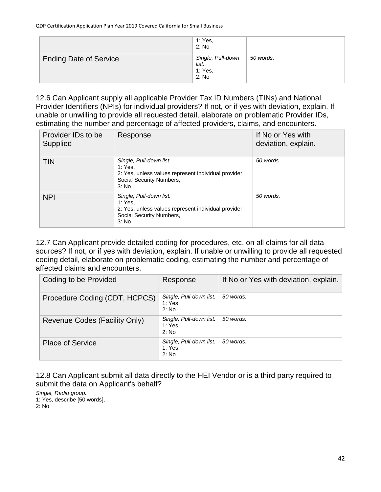|                               | 1: Yes,<br>2: No                               |           |
|-------------------------------|------------------------------------------------|-----------|
| <b>Ending Date of Service</b> | Single, Pull-down<br>list.<br>1: Yes,<br>2: No | 50 words. |

12.6 Can Applicant supply all applicable Provider Tax ID Numbers (TINs) and National Provider Identifiers (NPIs) for individual providers? If not, or if yes with deviation, explain. If unable or unwilling to provide all requested detail, elaborate on problematic Provider IDs, estimating the number and percentage of affected providers, claims, and encounters.

| Provider IDs to be<br>Supplied | Response                                                                                                                       | If No or Yes with<br>deviation, explain. |
|--------------------------------|--------------------------------------------------------------------------------------------------------------------------------|------------------------------------------|
| <b>TIN</b>                     | Single, Pull-down list.<br>1: Yes.<br>2: Yes, unless values represent individual provider<br>Social Security Numbers,<br>3: No | 50 words.                                |
| <b>NPI</b>                     | Single, Pull-down list.<br>1: Yes.<br>2: Yes, unless values represent individual provider<br>Social Security Numbers,<br>3: No | 50 words.                                |

12.7 Can Applicant provide detailed coding for procedures, etc. on all claims for all data sources? If not, or if yes with deviation, explain. If unable or unwilling to provide all requested coding detail, elaborate on problematic coding, estimating the number and percentage of affected claims and encounters.

| Coding to be Provided         | Response                                    | If No or Yes with deviation, explain. |
|-------------------------------|---------------------------------------------|---------------------------------------|
| Procedure Coding (CDT, HCPCS) | Single, Pull-down list.<br>1: Yes,<br>2: No | 50 words.                             |
| Revenue Codes (Facility Only) | Single, Pull-down list.<br>1: Yes.<br>2: No | 50 words.                             |
| <b>Place of Service</b>       | Single, Pull-down list.<br>1: Yes.<br>2: No | 50 words.                             |

12.8 Can Applicant submit all data directly to the HEI Vendor or is a third party required to submit the data on Applicant's behalf?

*Single, Radio group.* 1: Yes, describe [50 words], 2: No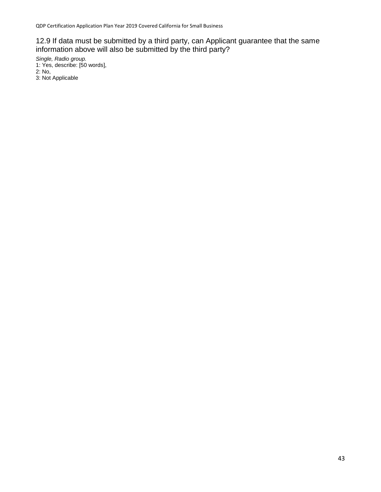### 12.9 If data must be submitted by a third party, can Applicant guarantee that the same information above will also be submitted by the third party?

*Single, Radio group.*

- 1: Yes, describe: [50 words],
- 2: No,
- 3: Not Applicable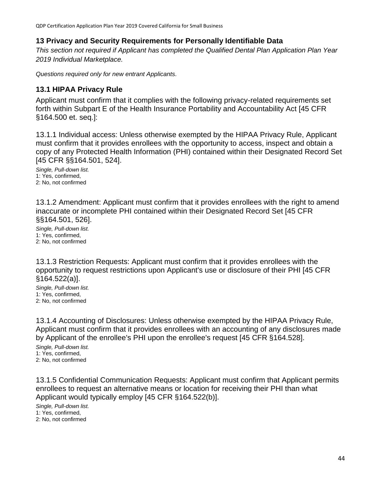#### **13 Privacy and Security Requirements for Personally Identifiable Data**

*This section not required if Applicant has completed the Qualified Dental Plan Application Plan Year 2019 Individual Marketplace.*

*Questions required only for new entrant Applicants.*

#### **13.1 HIPAA Privacy Rule**

Applicant must confirm that it complies with the following privacy-related requirements set forth within Subpart E of the Health Insurance Portability and Accountability Act [45 CFR §164.500 et. seq.]:

13.1.1 Individual access: Unless otherwise exempted by the HIPAA Privacy Rule, Applicant must confirm that it provides enrollees with the opportunity to access, inspect and obtain a copy of any Protected Health Information (PHI) contained within their Designated Record Set [45 CFR §§164.501, 524].

*Single, Pull-down list.* 1: Yes, confirmed, 2: No, not confirmed

13.1.2 Amendment: Applicant must confirm that it provides enrollees with the right to amend inaccurate or incomplete PHI contained within their Designated Record Set [45 CFR §§164.501, 526].

*Single, Pull-down list.* 1: Yes, confirmed, 2: No, not confirmed

13.1.3 Restriction Requests: Applicant must confirm that it provides enrollees with the opportunity to request restrictions upon Applicant's use or disclosure of their PHI [45 CFR §164.522(a)].

*Single, Pull-down list.* 1: Yes, confirmed, 2: No, not confirmed

13.1.4 Accounting of Disclosures: Unless otherwise exempted by the HIPAA Privacy Rule, Applicant must confirm that it provides enrollees with an accounting of any disclosures made by Applicant of the enrollee's PHI upon the enrollee's request [45 CFR §164.528].

*Single, Pull-down list.* 1: Yes, confirmed, 2: No, not confirmed

13.1.5 Confidential Communication Requests: Applicant must confirm that Applicant permits enrollees to request an alternative means or location for receiving their PHI than what Applicant would typically employ [45 CFR §164.522(b)].

*Single, Pull-down list.* 1: Yes, confirmed,

2: No, not confirmed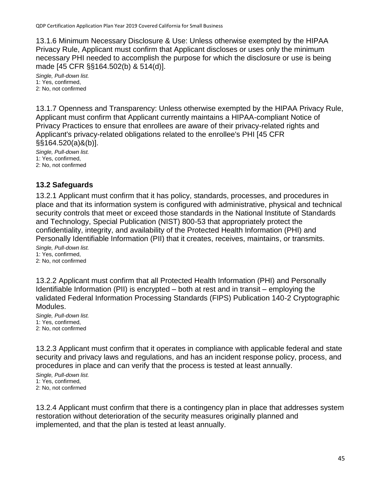13.1.6 Minimum Necessary Disclosure & Use: Unless otherwise exempted by the HIPAA Privacy Rule, Applicant must confirm that Applicant discloses or uses only the minimum necessary PHI needed to accomplish the purpose for which the disclosure or use is being made [45 CFR §§164.502(b) & 514(d)].

*Single, Pull-down list.* 1: Yes, confirmed, 2: No, not confirmed

13.1.7 Openness and Transparency: Unless otherwise exempted by the HIPAA Privacy Rule, Applicant must confirm that Applicant currently maintains a HIPAA-compliant Notice of Privacy Practices to ensure that enrollees are aware of their privacy-related rights and Applicant's privacy-related obligations related to the enrollee's PHI [45 CFR §§164.520(a)&(b)].

*Single, Pull-down list.* 1: Yes, confirmed, 2: No, not confirmed

### **13.2 Safeguards**

13.2.1 Applicant must confirm that it has policy, standards, processes, and procedures in place and that its information system is configured with administrative, physical and technical security controls that meet or exceed those standards in the National Institute of Standards and Technology, Special Publication (NIST) 800-53 that appropriately protect the confidentiality, integrity, and availability of the Protected Health Information (PHI) and Personally Identifiable Information (PII) that it creates, receives, maintains, or transmits. *Single, Pull-down list.*

1: Yes, confirmed, 2: No, not confirmed

13.2.2 Applicant must confirm that all Protected Health Information (PHI) and Personally Identifiable Information (PII) is encrypted – both at rest and in transit – employing the validated Federal Information Processing Standards (FIPS) Publication 140-2 Cryptographic Modules.

*Single, Pull-down list.* 1: Yes, confirmed, 2: No, not confirmed

13.2.3 Applicant must confirm that it operates in compliance with applicable federal and state security and privacy laws and regulations, and has an incident response policy, process, and procedures in place and can verify that the process is tested at least annually.

*Single, Pull-down list.* 1: Yes, confirmed, 2: No, not confirmed

13.2.4 Applicant must confirm that there is a contingency plan in place that addresses system restoration without deterioration of the security measures originally planned and implemented, and that the plan is tested at least annually.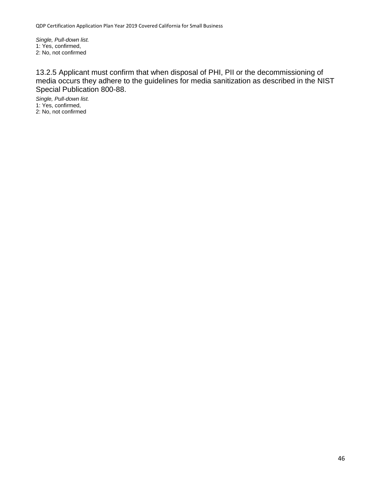*Single, Pull-down list.* 1: Yes, confirmed, 2: No, not confirmed

13.2.5 Applicant must confirm that when disposal of PHI, PII or the decommissioning of media occurs they adhere to the guidelines for media sanitization as described in the NIST Special Publication 800-88.

*Single, Pull-down list.* 1: Yes, confirmed, 2: No, not confirmed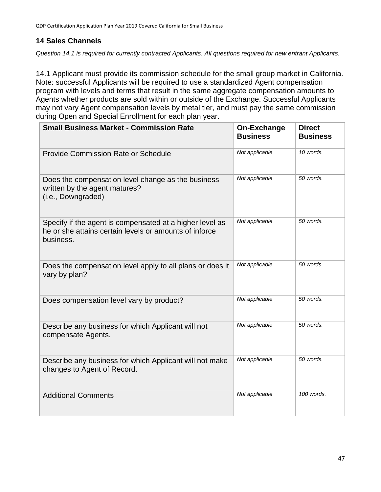## **14 Sales Channels**

*Question 14.1 is required for currently contracted Applicants. All questions required for new entrant Applicants.*

14.1 Applicant must provide its commission schedule for the small group market in California. Note: successful Applicants will be required to use a standardized Agent compensation program with levels and terms that result in the same aggregate compensation amounts to Agents whether products are sold within or outside of the Exchange. Successful Applicants may not vary Agent compensation levels by metal tier, and must pay the same commission during Open and Special Enrollment for each plan year.

| <b>Small Business Market - Commission Rate</b>                                                                                  | On-Exchange<br><b>Business</b> | <b>Direct</b><br><b>Business</b> |
|---------------------------------------------------------------------------------------------------------------------------------|--------------------------------|----------------------------------|
| <b>Provide Commission Rate or Schedule</b>                                                                                      | Not applicable                 | 10 words.                        |
| Does the compensation level change as the business<br>written by the agent matures?<br>(i.e., Downgraded)                       | Not applicable                 | 50 words.                        |
| Specify if the agent is compensated at a higher level as<br>he or she attains certain levels or amounts of inforce<br>business. | Not applicable                 | 50 words.                        |
| Does the compensation level apply to all plans or does it<br>vary by plan?                                                      | Not applicable                 | 50 words.                        |
| Does compensation level vary by product?                                                                                        | Not applicable                 | 50 words.                        |
| Describe any business for which Applicant will not<br>compensate Agents.                                                        | Not applicable                 | 50 words.                        |
| Describe any business for which Applicant will not make<br>changes to Agent of Record.                                          | Not applicable                 | 50 words.                        |
| <b>Additional Comments</b>                                                                                                      | Not applicable                 | 100 words.                       |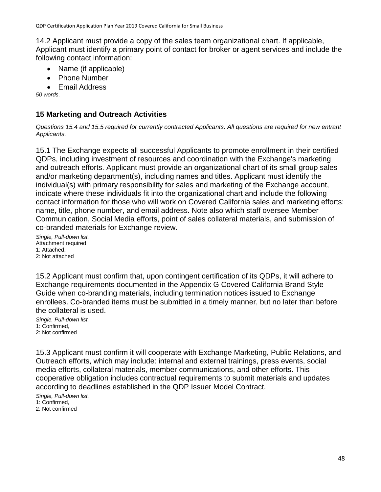14.2 Applicant must provide a copy of the sales team organizational chart. If applicable, Applicant must identify a primary point of contact for broker or agent services and include the following contact information:

- Name (if applicable)
- Phone Number
- Email Address

*50 words.*

# **15 Marketing and Outreach Activities**

*Questions 15.4 and 15.5 required for currently contracted Applicants. All questions are required for new entrant Applicants.*

15.1 The Exchange expects all successful Applicants to promote enrollment in their certified QDPs, including investment of resources and coordination with the Exchange's marketing and outreach efforts. Applicant must provide an organizational chart of its small group sales and/or marketing department(s), including names and titles. Applicant must identify the individual(s) with primary responsibility for sales and marketing of the Exchange account, indicate where these individuals fit into the organizational chart and include the following contact information for those who will work on Covered California sales and marketing efforts: name, title, phone number, and email address. Note also which staff oversee Member Communication, Social Media efforts, point of sales collateral materials, and submission of co-branded materials for Exchange review.

*Single, Pull-down list.* Attachment required 1: Attached, 2: Not attached

15.2 Applicant must confirm that, upon contingent certification of its QDPs, it will adhere to Exchange requirements documented in the Appendix G Covered California Brand Style Guide when co-branding materials, including termination notices issued to Exchange enrollees. Co-branded items must be submitted in a timely manner, but no later than before the collateral is used.

*Single, Pull-down list.* 1: Confirmed, 2: Not confirmed

15.3 Applicant must confirm it will cooperate with Exchange Marketing, Public Relations, and Outreach efforts, which may include: internal and external trainings, press events, social media efforts, collateral materials, member communications, and other efforts. This cooperative obligation includes contractual requirements to submit materials and updates according to deadlines established in the QDP Issuer Model Contract.

*Single, Pull-down list.* 1: Confirmed, 2: Not confirmed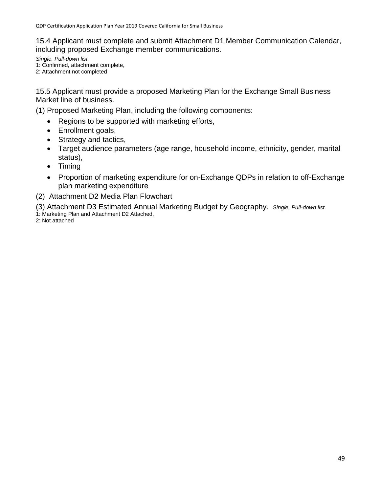15.4 Applicant must complete and submit Attachment D1 Member Communication Calendar, including proposed Exchange member communications.

*Single, Pull-down list.*

- 1: Confirmed, attachment complete,
- 2: Attachment not completed

15.5 Applicant must provide a proposed Marketing Plan for the Exchange Small Business Market line of business.

(1) Proposed Marketing Plan, including the following components:

- Regions to be supported with marketing efforts,
- Enrollment goals,
- Strategy and tactics,
- Target audience parameters (age range, household income, ethnicity, gender, marital status),
- Timing
- Proportion of marketing expenditure for on-Exchange QDPs in relation to off-Exchange plan marketing expenditure
- (2) Attachment D2 Media Plan Flowchart

(3) Attachment D3 Estimated Annual Marketing Budget by Geography. *Single, Pull-down list.* 1: Marketing Plan and Attachment D2 Attached,

2: Not attached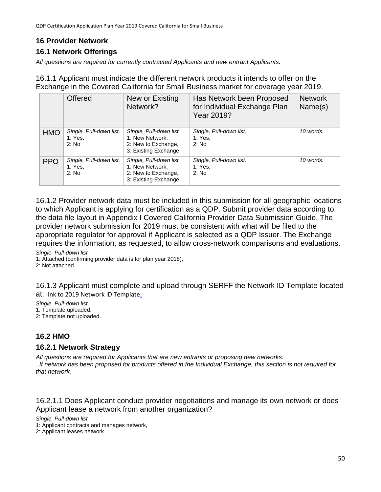### **16 Provider Network**

## **16.1 Network Offerings**

*All questions are required for currently contracted Applicants and new entrant Applicants.*

16.1.1 Applicant must indicate the different network products it intends to offer on the Exchange in the Covered California for Small Business market for coverage year 2019.

|            | <b>Offered</b>                              | New or Existing<br>Network?                                                               | Has Network been Proposed<br>for Individual Exchange Plan<br>Year 2019? | <b>Network</b><br>Name(s) |
|------------|---------------------------------------------|-------------------------------------------------------------------------------------------|-------------------------------------------------------------------------|---------------------------|
| <b>HMO</b> | Single, Pull-down list.<br>1: Yes,<br>2: No | Single, Pull-down list.<br>1: New Network,<br>2: New to Exchange,<br>3: Existing Exchange | Single, Pull-down list.<br>1: Yes,<br>2: No                             | 10 words.                 |
| <b>PPO</b> | Single, Pull-down list.<br>1: Yes.<br>2: No | Single, Pull-down list.<br>1: New Network,<br>2: New to Exchange,<br>3: Existing Exchange | Single, Pull-down list.<br>1: Yes.<br>2: No                             | 10 words.                 |

16.1.2 Provider network data must be included in this submission for all geographic locations to which Applicant is applying for certification as a QDP. Submit provider data according to the data file layout in Appendix I Covered California Provider Data Submission Guide. The provider network submission for 2019 must be consistent with what will be filed to the appropriate regulator for approval if Applicant is selected as a QDP Issuer. The Exchange requires the information, as requested, to allow cross-network comparisons and evaluations. *Single, Pull-down list.*

1: Attached (confirming provider data is for plan year 2018),

2: Not attached

16.1.3 Applicant must complete and upload through SERFF the Network ID Template located at: link to 2019 Network ID Template.

*Single, Pull-down list.*

1: Template uploaded,

2: Template not uploaded.

## **16.2 HMO**

### **16.2.1 Network Strategy**

*All questions are required for Applicants that are new entrants or proposing new networks.*

*. If network has been proposed for products offered in the Individual Exchange, this section is not required for that network.*

16.2.1.1 Does Applicant conduct provider negotiations and manage its own network or does Applicant lease a network from another organization?

*Single, Pull-down list.*

1: Applicant contracts and manages network,

2: Applicant leases network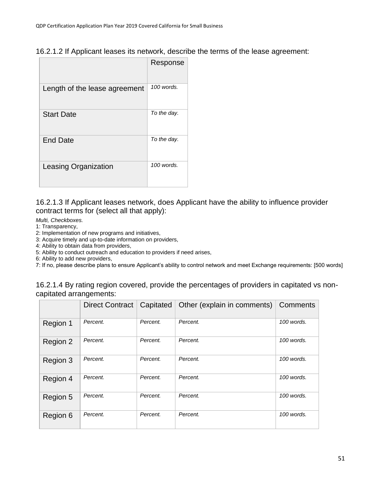| 16.2.1.2 If Applicant leases its network, describe the terms of the lease agreement: |  |  |
|--------------------------------------------------------------------------------------|--|--|
|                                                                                      |  |  |

|                               | Response    |
|-------------------------------|-------------|
| Length of the lease agreement | 100 words.  |
| <b>Start Date</b>             | To the day. |
| <b>End Date</b>               | To the day. |
| Leasing Organization          | 100 words.  |

16.2.1.3 If Applicant leases network, does Applicant have the ability to influence provider contract terms for (select all that apply):

*Multi, Checkboxes.*

- 1: Transparency,
- 2: Implementation of new programs and initiatives,
- 3: Acquire timely and up-to-date information on providers,

4: Ability to obtain data from providers,

5: Ability to conduct outreach and education to providers if need arises,

6: Ability to add new providers,

7: If no, please describe plans to ensure Applicant's ability to control network and meet Exchange requirements: [500 words]

| 16.2.1.4 By rating region covered, provide the percentages of providers in capitated vs non- |  |  |  |
|----------------------------------------------------------------------------------------------|--|--|--|
| capitated arrangements:                                                                      |  |  |  |

|          | <b>Direct Contract</b> | Capitated | Other (explain in comments) | <b>Comments</b> |
|----------|------------------------|-----------|-----------------------------|-----------------|
| Region 1 | Percent.               | Percent.  | Percent.                    | 100 words.      |
| Region 2 | Percent.               | Percent.  | Percent.                    | 100 words.      |
| Region 3 | Percent.               | Percent.  | Percent.                    | 100 words.      |
| Region 4 | Percent.               | Percent.  | Percent.                    | 100 words.      |
| Region 5 | Percent.               | Percent.  | Percent.                    | 100 words.      |
| Region 6 | Percent.               | Percent.  | Percent.                    | 100 words.      |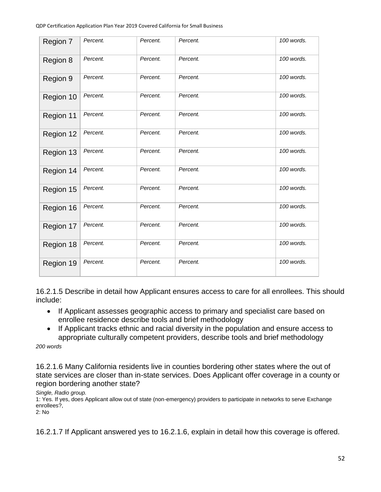| Region 7  | Percent. | Percent. | Percent. | 100 words. |
|-----------|----------|----------|----------|------------|
| Region 8  | Percent. | Percent. | Percent. | 100 words. |
| Region 9  | Percent. | Percent. | Percent. | 100 words. |
| Region 10 | Percent. | Percent. | Percent. | 100 words. |
| Region 11 | Percent. | Percent. | Percent. | 100 words. |
| Region 12 | Percent. | Percent. | Percent. | 100 words. |
| Region 13 | Percent. | Percent. | Percent. | 100 words. |
| Region 14 | Percent. | Percent. | Percent. | 100 words. |
| Region 15 | Percent. | Percent. | Percent. | 100 words. |
| Region 16 | Percent. | Percent. | Percent. | 100 words. |
| Region 17 | Percent. | Percent. | Percent. | 100 words. |
| Region 18 | Percent. | Percent. | Percent. | 100 words. |
| Region 19 | Percent. | Percent. | Percent. | 100 words. |

16.2.1.5 Describe in detail how Applicant ensures access to care for all enrollees. This should include:

- If Applicant assesses geographic access to primary and specialist care based on enrollee residence describe tools and brief methodology
- If Applicant tracks ethnic and racial diversity in the population and ensure access to appropriate culturally competent providers, describe tools and brief methodology

*200 words*

16.2.1.6 Many California residents live in counties bordering other states where the out of state services are closer than in-state services. Does Applicant offer coverage in a county or region bordering another state?

*Single, Radio group.*

1: Yes. If yes, does Applicant allow out of state (non-emergency) providers to participate in networks to serve Exchange enrollees?,

2: No

16.2.1.7 If Applicant answered yes to 16.2.1.6, explain in detail how this coverage is offered.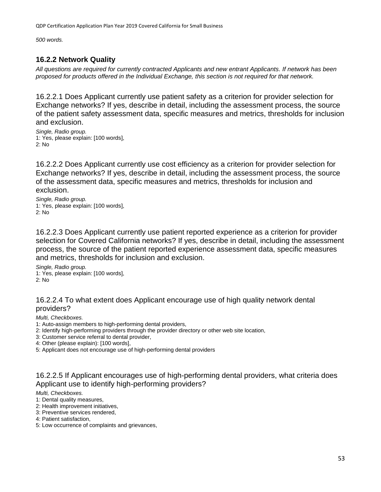*500 words.*

### **16.2.2 Network Quality**

*All questions are required for currently contracted Applicants and new entrant Applicants. If network has been proposed for products offered in the Individual Exchange, this section is not required for that network.*

16.2.2.1 Does Applicant currently use patient safety as a criterion for provider selection for Exchange networks? If yes, describe in detail, including the assessment process, the source of the patient safety assessment data, specific measures and metrics, thresholds for inclusion and exclusion.

*Single, Radio group.* 1: Yes, please explain: [100 words], 2: No

16.2.2.2 Does Applicant currently use cost efficiency as a criterion for provider selection for Exchange networks? If yes, describe in detail, including the assessment process, the source of the assessment data, specific measures and metrics, thresholds for inclusion and exclusion.

*Single, Radio group.* 1: Yes, please explain: [100 words], 2: No

16.2.2.3 Does Applicant currently use patient reported experience as a criterion for provider selection for Covered California networks? If yes, describe in detail, including the assessment process, the source of the patient reported experience assessment data, specific measures and metrics, thresholds for inclusion and exclusion.

*Single, Radio group.* 1: Yes, please explain: [100 words], 2: No

#### 16.2.2.4 To what extent does Applicant encourage use of high quality network dental providers?

*Multi, Checkboxes.*

- 1: Auto-assign members to high-performing dental providers,
- 2: Identify high-performing providers through the provider directory or other web site location,
- 3: Customer service referral to dental provider,
- 4: Other (please explain): [100 words],
- 5: Applicant does not encourage use of high-performing dental providers

### 16.2.2.5 If Applicant encourages use of high-performing dental providers, what criteria does Applicant use to identify high-performing providers?

*Multi, Checkboxes.*

- 1: Dental quality measures,
- 2: Health improvement initiatives,
- 3: Preventive services rendered,
- 4: Patient satisfaction,
- 5: Low occurrence of complaints and grievances,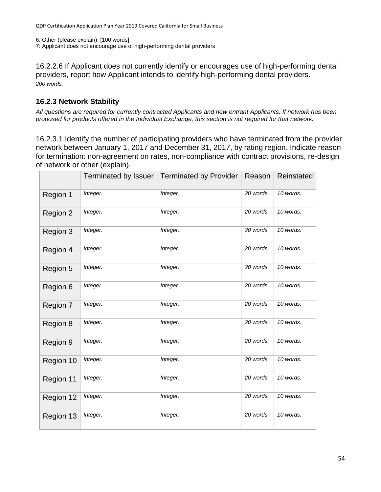6: Other (please explain): [100 words],

7: Applicant does not encourage use of high-performing dental providers

16.2.2.6 If Applicant does not currently identify or encourages use of high-performing dental providers, report how Applicant intends to identify high-performing dental providers. *200 words.*

### **16.2.3 Network Stability**

*All questions are required for currently contracted Applicants and new entrant Applicants. If network has been proposed for products offered in the Individual Exchange, this section is not required for that network.*

16.2.3.1 Identify the number of participating providers who have terminated from the provider network between January 1, 2017 and December 31, 2017, by rating region. Indicate reason for termination: non-agreement on rates, non-compliance with contract provisions, re-design of network or other (explain).

|           | Terminated by Issuer | Terminated by Provider | Reason    | Reinstated |
|-----------|----------------------|------------------------|-----------|------------|
| Region 1  | Integer.             | Integer.               | 20 words. | 10 words.  |
| Region 2  | Integer.             | Integer.               | 20 words. | 10 words.  |
| Region 3  | Integer.             | Integer.               | 20 words. | 10 words.  |
| Region 4  | Integer.             | Integer.               | 20 words. | 10 words.  |
| Region 5  | Integer.             | Integer.               | 20 words. | 10 words.  |
| Region 6  | Integer.             | Integer.               | 20 words. | 10 words.  |
| Region 7  | Integer.             | Integer.               | 20 words. | 10 words.  |
| Region 8  | Integer.             | Integer.               | 20 words. | 10 words.  |
| Region 9  | Integer.             | Integer.               | 20 words. | 10 words.  |
| Region 10 | Integer.             | Integer.               | 20 words. | 10 words.  |
| Region 11 | Integer.             | Integer.               | 20 words. | 10 words.  |
| Region 12 | Integer.             | Integer.               | 20 words. | 10 words.  |
| Region 13 | Integer.             | Integer.               | 20 words. | 10 words.  |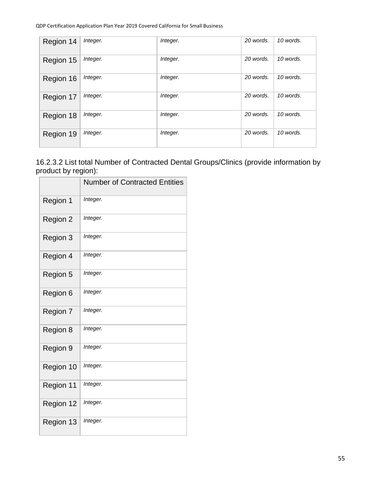| Region 14 | Integer. | Integer. | 20 words. | 10 words. |
|-----------|----------|----------|-----------|-----------|
| Region 15 | Integer. | Integer. | 20 words. | 10 words. |
| Region 16 | Integer. | Integer. | 20 words. | 10 words. |
| Region 17 | Integer. | Integer. | 20 words. | 10 words. |
| Region 18 | Integer. | Integer. | 20 words. | 10 words. |
| Region 19 | Integer. | Integer. | 20 words. | 10 words. |

16.2.3.2 List total Number of Contracted Dental Groups/Clinics (provide information by product by region):

|           | <b>Number of Contracted Entities</b> |
|-----------|--------------------------------------|
| Region 1  | Integer.                             |
| Region 2  | Integer.                             |
| Region 3  | Integer.                             |
| Region 4  | Integer.                             |
| Region 5  | Integer.                             |
| Region 6  | Integer.                             |
| Region 7  | Integer.                             |
| Region 8  | Integer.                             |
| Region 9  | Integer.                             |
| Region 10 | Integer.                             |
| Region 11 | Integer.                             |
| Region 12 | Integer.                             |
| Region 13 | Integer.                             |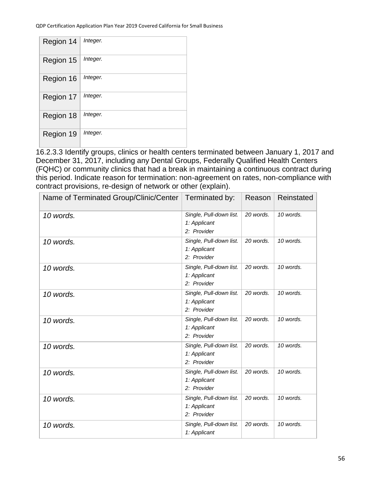| Region 14 | Integer. |
|-----------|----------|
| Region 15 | Integer. |
| Region 16 | Integer. |
| Region 17 | Integer. |
| Region 18 | Integer. |
| Region 19 | Integer. |

16.2.3.3 Identify groups, clinics or health centers terminated between January 1, 2017 and December 31, 2017, including any Dental Groups, Federally Qualified Health Centers (FQHC) or community clinics that had a break in maintaining a continuous contract during this period. Indicate reason for termination: non-agreement on rates, non-compliance with contract provisions, re-design of network or other (explain).

| Name of Terminated Group/Clinic/Center   Terminated by: |                                                        | Reason    | Reinstated |
|---------------------------------------------------------|--------------------------------------------------------|-----------|------------|
| 10 words.                                               | Single, Pull-down list.<br>1: Applicant<br>2: Provider | 20 words. | 10 words.  |
| 10 words.                                               | Single, Pull-down list.<br>1: Applicant<br>2: Provider | 20 words. | 10 words.  |
| 10 words.                                               | Single, Pull-down list.<br>1: Applicant<br>2: Provider | 20 words. | 10 words.  |
| 10 words.                                               | Single, Pull-down list.<br>1: Applicant<br>2: Provider | 20 words. | 10 words.  |
| 10 words.                                               | Single, Pull-down list.<br>1: Applicant<br>2: Provider | 20 words. | 10 words.  |
| 10 words.                                               | Single, Pull-down list.<br>1: Applicant<br>2: Provider | 20 words. | 10 words.  |
| 10 words.                                               | Single, Pull-down list.<br>1: Applicant<br>2: Provider | 20 words. | 10 words.  |
| 10 words.                                               | Single, Pull-down list.<br>1: Applicant<br>2: Provider | 20 words. | 10 words.  |
| 10 words.                                               | Single, Pull-down list.<br>1: Applicant                | 20 words. | 10 words.  |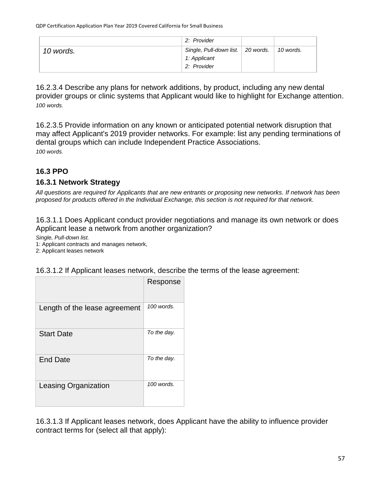|           | 2: Provider                                                        |             |
|-----------|--------------------------------------------------------------------|-------------|
| 10 words. | Single, Pull-down list.   20 words.<br>1: Applicant<br>2: Provider | $10$ words. |

16.2.3.4 Describe any plans for network additions, by product, including any new dental provider groups or clinic systems that Applicant would like to highlight for Exchange attention. *100 words.*

16.2.3.5 Provide information on any known or anticipated potential network disruption that may affect Applicant's 2019 provider networks. For example: list any pending terminations of dental groups which can include Independent Practice Associations. *100 words.*

## **16.3 PPO**

### **16.3.1 Network Strategy**

*All questions are required for Applicants that are new entrants or proposing new networks. If network has been proposed for products offered in the Individual Exchange, this section is not required for that network.*

16.3.1.1 Does Applicant conduct provider negotiations and manage its own network or does Applicant lease a network from another organization?

*Single, Pull-down list.*

1: Applicant contracts and manages network,

2: Applicant leases network

| 16.3.1.2 If Applicant leases network, describe the terms of the lease agreement: |  |  |
|----------------------------------------------------------------------------------|--|--|
|                                                                                  |  |  |

|                               | Response    |
|-------------------------------|-------------|
| Length of the lease agreement | 100 words.  |
| <b>Start Date</b>             | To the day. |
| End Date                      | To the day. |
| <b>Leasing Organization</b>   | 100 words.  |

16.3.1.3 If Applicant leases network, does Applicant have the ability to influence provider contract terms for (select all that apply):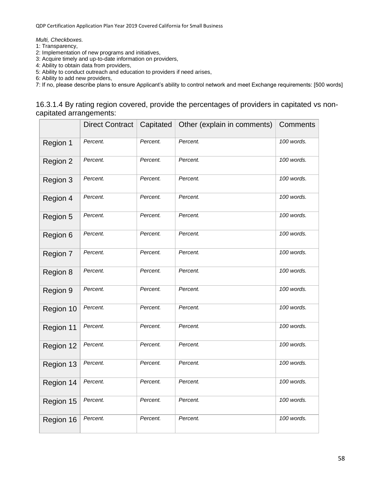*Multi, Checkboxes.*

- 1: Transparency,
- 2: Implementation of new programs and initiatives,
- 3: Acquire timely and up-to-date information on providers,
- 4: Ability to obtain data from providers,
- 5: Ability to conduct outreach and education to providers if need arises,
- 6: Ability to add new providers,

7: If no, please describe plans to ensure Applicant's ability to control network and meet Exchange requirements: [500 words]

### 16.3.1.4 By rating region covered, provide the percentages of providers in capitated vs noncapitated arrangements:

|           | <b>Direct Contract</b> | Capitated | Other (explain in comments) | Comments   |
|-----------|------------------------|-----------|-----------------------------|------------|
| Region 1  | Percent.               | Percent.  | Percent.                    | 100 words. |
| Region 2  | Percent.               | Percent.  | Percent.                    | 100 words. |
| Region 3  | Percent.               | Percent.  | Percent.                    | 100 words. |
| Region 4  | Percent.               | Percent.  | Percent.                    | 100 words. |
| Region 5  | Percent.               | Percent.  | Percent.                    | 100 words. |
| Region 6  | Percent.               | Percent.  | Percent.                    | 100 words. |
| Region 7  | Percent.               | Percent.  | Percent.                    | 100 words. |
| Region 8  | Percent.               | Percent.  | Percent.                    | 100 words. |
| Region 9  | Percent.               | Percent.  | Percent.                    | 100 words. |
| Region 10 | Percent.               | Percent.  | Percent.                    | 100 words. |
| Region 11 | Percent.               | Percent.  | Percent.                    | 100 words. |
| Region 12 | Percent.               | Percent.  | Percent.                    | 100 words. |
| Region 13 | Percent.               | Percent.  | Percent.                    | 100 words. |
| Region 14 | Percent.               | Percent.  | Percent.                    | 100 words. |
| Region 15 | Percent.               | Percent.  | Percent.                    | 100 words. |
| Region 16 | Percent.               | Percent.  | Percent.                    | 100 words. |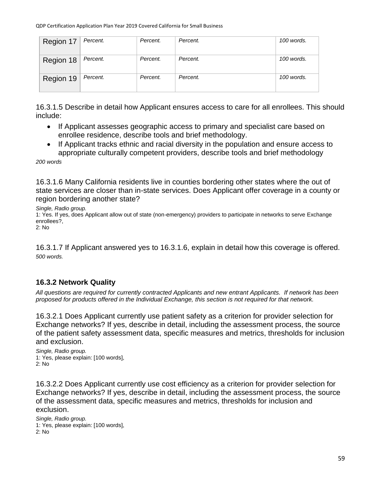| Region 17 | Percent. | Percent. | Percent. | 100 words. |
|-----------|----------|----------|----------|------------|
| Region 18 | Percent. | Percent. | Percent. | 100 words. |
| Region 19 | Percent. | Percent. | Percent. | 100 words. |

16.3.1.5 Describe in detail how Applicant ensures access to care for all enrollees. This should include:

- If Applicant assesses geographic access to primary and specialist care based on enrollee residence, describe tools and brief methodology.
- If Applicant tracks ethnic and racial diversity in the population and ensure access to appropriate culturally competent providers, describe tools and brief methodology

*200 words*

16.3.1.6 Many California residents live in counties bordering other states where the out of state services are closer than in-state services. Does Applicant offer coverage in a county or region bordering another state?

*Single, Radio group.*

1: Yes. If yes, does Applicant allow out of state (non-emergency) providers to participate in networks to serve Exchange enrollees?,

2: No

16.3.1.7 If Applicant answered yes to 16.3.1.6, explain in detail how this coverage is offered. *500 words.*

### **16.3.2 Network Quality**

*All questions are required for currently contracted Applicants and new entrant Applicants. If network has been proposed for products offered in the Individual Exchange, this section is not required for that network.*

16.3.2.1 Does Applicant currently use patient safety as a criterion for provider selection for Exchange networks? If yes, describe in detail, including the assessment process, the source of the patient safety assessment data, specific measures and metrics, thresholds for inclusion and exclusion.

*Single, Radio group.* 1: Yes, please explain: [100 words],  $2 \cdot$  No

16.3.2.2 Does Applicant currently use cost efficiency as a criterion for provider selection for Exchange networks? If yes, describe in detail, including the assessment process, the source of the assessment data, specific measures and metrics, thresholds for inclusion and exclusion.

*Single, Radio group.* 1: Yes, please explain: [100 words], 2: No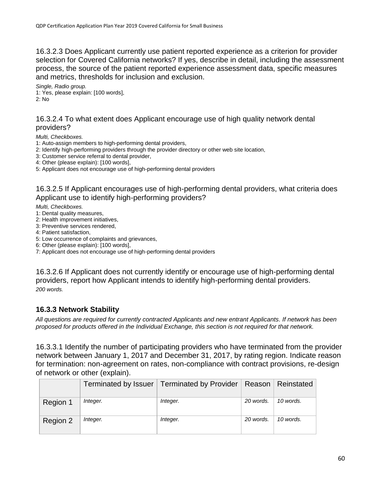16.3.2.3 Does Applicant currently use patient reported experience as a criterion for provider selection for Covered California networks? If yes, describe in detail, including the assessment process, the source of the patient reported experience assessment data, specific measures and metrics, thresholds for inclusion and exclusion.

*Single, Radio group.* 1: Yes, please explain: [100 words], 2: No

#### 16.3.2.4 To what extent does Applicant encourage use of high quality network dental providers?

*Multi, Checkboxes.*

- 1: Auto-assign members to high-performing dental providers,
- 2: Identify high-performing providers through the provider directory or other web site location,
- 3: Customer service referral to dental provider,
- 4: Other (please explain): [100 words],
- 5: Applicant does not encourage use of high-performing dental providers

16.3.2.5 If Applicant encourages use of high-performing dental providers, what criteria does Applicant use to identify high-performing providers?

*Multi, Checkboxes.*

- 1: Dental quality measures,
- 2: Health improvement initiatives,
- 3: Preventive services rendered,
- 4: Patient satisfaction,
- 5: Low occurrence of complaints and grievances,
- 6: Other (please explain): [100 words],
- 7: Applicant does not encourage use of high-performing dental providers

16.3.2.6 If Applicant does not currently identify or encourage use of high-performing dental providers, report how Applicant intends to identify high-performing dental providers. *200 words.*

### **16.3.3 Network Stability**

*All questions are required for currently contracted Applicants and new entrant Applicants. If network has been proposed for products offered in the Individual Exchange, this section is not required for that network.*

16.3.3.1 Identify the number of participating providers who have terminated from the provider network between January 1, 2017 and December 31, 2017, by rating region. Indicate reason for termination: non-agreement on rates, non-compliance with contract provisions, re-design of network or other (explain).

|          | Terminated by Issuer | Terminated by Provider   Reason   Reinstated |           |           |
|----------|----------------------|----------------------------------------------|-----------|-----------|
| Region 1 | Integer.             | Integer.                                     | 20 words. | 10 words. |
| Region 2 | Integer.             | Integer.                                     | 20 words. | 10 words. |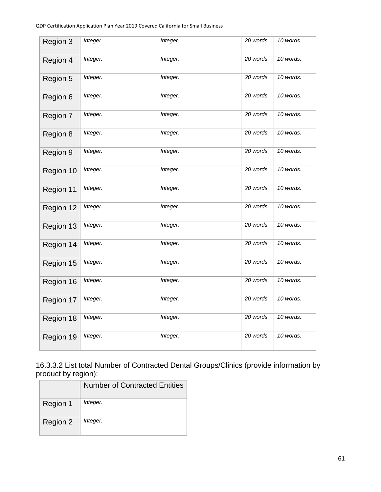| Region 3  | Integer. | Integer. | 20 words. | 10 words. |
|-----------|----------|----------|-----------|-----------|
| Region 4  | Integer. | Integer. | 20 words. | 10 words. |
| Region 5  | Integer. | Integer. | 20 words. | 10 words. |
| Region 6  | Integer. | Integer. | 20 words. | 10 words. |
| Region 7  | Integer. | Integer. | 20 words. | 10 words. |
| Region 8  | Integer. | Integer. | 20 words. | 10 words. |
| Region 9  | Integer. | Integer. | 20 words. | 10 words. |
| Region 10 | Integer. | Integer. | 20 words. | 10 words. |
| Region 11 | Integer. | Integer. | 20 words. | 10 words. |
| Region 12 | Integer. | Integer. | 20 words. | 10 words. |
| Region 13 | Integer. | Integer. | 20 words. | 10 words. |
| Region 14 | Integer. | Integer. | 20 words. | 10 words. |
| Region 15 | Integer. | Integer. | 20 words. | 10 words. |
| Region 16 | Integer. | Integer. | 20 words. | 10 words. |
| Region 17 | Integer. | Integer. | 20 words. | 10 words. |
| Region 18 | Integer. | Integer. | 20 words. | 10 words. |
| Region 19 | Integer. | Integer. | 20 words. | 10 words. |

16.3.3.2 List total Number of Contracted Dental Groups/Clinics (provide information by product by region):

|          | <b>Number of Contracted Entities</b> |
|----------|--------------------------------------|
| Region 1 | Integer.                             |
| Region 2 | Integer.                             |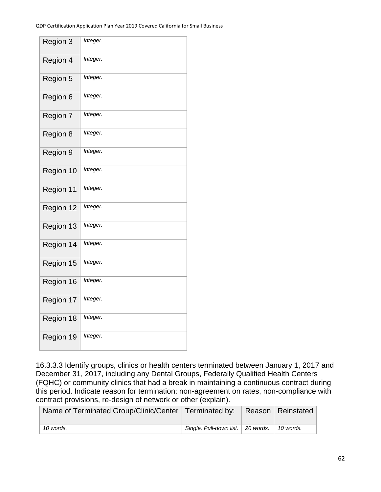| Region 3  | Integer. |
|-----------|----------|
| Region 4  | Integer. |
| Region 5  | Integer. |
| Region 6  | Integer. |
| Region 7  | Integer. |
| Region 8  | Integer. |
| Region 9  | Integer. |
| Region 10 | Integer. |
| Region 11 | Integer. |
| Region 12 | Integer. |
| Region 13 | Integer. |
| Region 14 | Integer. |
| Region 15 | Integer. |
| Region 16 | Integer. |
| Region 17 | Integer. |
| Region 18 | Integer. |
| Region 19 | Integer. |

16.3.3.3 Identify groups, clinics or health centers terminated between January 1, 2017 and December 31, 2017, including any Dental Groups, Federally Qualified Health Centers (FQHC) or community clinics that had a break in maintaining a continuous contract during this period. Indicate reason for termination: non-agreement on rates, non-compliance with contract provisions, re-design of network or other (explain).

| 「Name of Terminated Group/Clinic/Center   Terminated by:   Reason   Reinstated |                                                 |  |
|--------------------------------------------------------------------------------|-------------------------------------------------|--|
| 10 words.                                                                      | Single, Pull-down list.   20 words.   10 words. |  |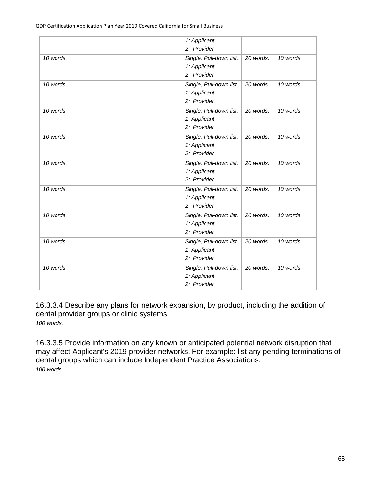|           | 1: Applicant<br>2: Provider                            |           |           |
|-----------|--------------------------------------------------------|-----------|-----------|
| 10 words. | Single, Pull-down list.<br>1: Applicant<br>2: Provider | 20 words. | 10 words. |
| 10 words. | Single, Pull-down list.<br>1: Applicant<br>2: Provider | 20 words. | 10 words. |
| 10 words. | Single, Pull-down list.<br>1: Applicant<br>2: Provider | 20 words. | 10 words. |
| 10 words. | Single, Pull-down list.<br>1: Applicant<br>2: Provider | 20 words. | 10 words. |
| 10 words. | Single, Pull-down list.<br>1: Applicant<br>2: Provider | 20 words. | 10 words. |
| 10 words. | Single, Pull-down list.<br>1: Applicant<br>2: Provider | 20 words. | 10 words. |
| 10 words. | Single, Pull-down list.<br>1: Applicant<br>2: Provider | 20 words. | 10 words. |
| 10 words. | Single, Pull-down list.<br>1: Applicant<br>2: Provider | 20 words. | 10 words. |
| 10 words. | Single, Pull-down list.<br>1: Applicant<br>2: Provider | 20 words. | 10 words. |

16.3.3.4 Describe any plans for network expansion, by product, including the addition of dental provider groups or clinic systems. *100 words.*

16.3.3.5 Provide information on any known or anticipated potential network disruption that may affect Applicant's 2019 provider networks. For example: list any pending terminations of dental groups which can include Independent Practice Associations. *100 words.*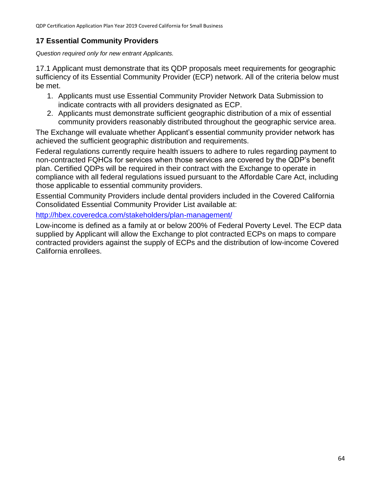# **17 Essential Community Providers**

*Question required only for new entrant Applicants.*

17.1 Applicant must demonstrate that its QDP proposals meet requirements for geographic sufficiency of its Essential Community Provider (ECP) network. All of the criteria below must be met.

- 1. Applicants must use Essential Community Provider Network Data Submission to indicate contracts with all providers designated as ECP.
- 2. Applicants must demonstrate sufficient geographic distribution of a mix of essential community providers reasonably distributed throughout the geographic service area.

The Exchange will evaluate whether Applicant's essential community provider network has achieved the sufficient geographic distribution and requirements.

Federal regulations currently require health issuers to adhere to rules regarding payment to non-contracted FQHCs for services when those services are covered by the QDP's benefit plan. Certified QDPs will be required in their contract with the Exchange to operate in compliance with all federal regulations issued pursuant to the Affordable Care Act, including those applicable to essential community providers.

Essential Community Providers include dental providers included in the Covered California Consolidated Essential Community Provider List available at:

<http://hbex.coveredca.com/stakeholders/plan-management/>

Low-income is defined as a family at or below 200% of Federal Poverty Level. The ECP data supplied by Applicant will allow the Exchange to plot contracted ECPs on maps to compare contracted providers against the supply of ECPs and the distribution of low-income Covered California enrollees.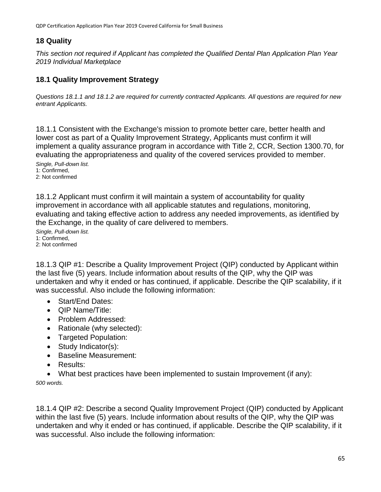## **18 Quality**

*This section not required if Applicant has completed the Qualified Dental Plan Application Plan Year 2019 Individual Marketplace*

# **18.1 Quality Improvement Strategy**

*Questions 18.1.1 and 18.1.2 are required for currently contracted Applicants. All questions are required for new entrant Applicants.*

18.1.1 Consistent with the Exchange's mission to promote better care, better health and lower cost as part of a Quality Improvement Strategy, Applicants must confirm it will implement a quality assurance program in accordance with Title 2, CCR, Section 1300.70, for evaluating the appropriateness and quality of the covered services provided to member. *Single, Pull-down list.*

1: Confirmed, 2: Not confirmed

18.1.2 Applicant must confirm it will maintain a system of accountability for quality improvement in accordance with all applicable statutes and regulations, monitoring, evaluating and taking effective action to address any needed improvements, as identified by the Exchange, in the quality of care delivered to members.

*Single, Pull-down list.* 1: Confirmed, 2: Not confirmed

18.1.3 QIP #1: Describe a Quality Improvement Project (QIP) conducted by Applicant within the last five (5) years. Include information about results of the QIP, why the QIP was undertaken and why it ended or has continued, if applicable. Describe the QIP scalability, if it was successful. Also include the following information:

- Start/End Dates:
- QIP Name/Title:
- Problem Addressed:
- Rationale (why selected):
- Targeted Population:
- Study Indicator(s):
- Baseline Measurement:
- Results:
- What best practices have been implemented to sustain Improvement (if any):

*500 words.*

18.1.4 QIP #2: Describe a second Quality Improvement Project (QIP) conducted by Applicant within the last five (5) years. Include information about results of the QIP, why the QIP was undertaken and why it ended or has continued, if applicable. Describe the QIP scalability, if it was successful. Also include the following information: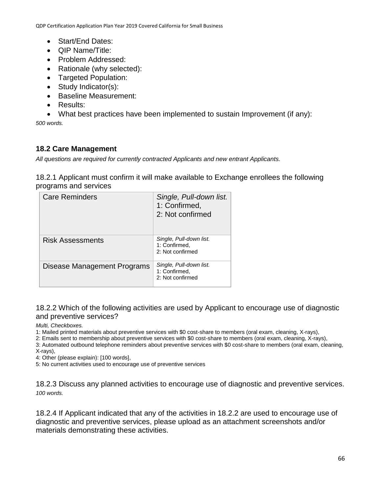- Start/End Dates:
- QIP Name/Title:
- Problem Addressed:
- Rationale (why selected):
- Targeted Population:
- Study Indicator(s):
- Baseline Measurement:
- Results:

• What best practices have been implemented to sustain Improvement (if any):

*500 words.*

## **18.2 Care Management**

*All questions are required for currently contracted Applicants and new entrant Applicants.*

18.2.1 Applicant must confirm it will make available to Exchange enrollees the following programs and services

| <b>Care Reminders</b>       | Single, Pull-down list.<br>1: Confirmed,<br>2: Not confirmed |
|-----------------------------|--------------------------------------------------------------|
| <b>Risk Assessments</b>     | Single, Pull-down list.<br>1: Confirmed,<br>2: Not confirmed |
| Disease Management Programs | Single, Pull-down list.<br>1: Confirmed,<br>2: Not confirmed |

18.2.2 Which of the following activities are used by Applicant to encourage use of diagnostic and preventive services?

*Multi, Checkboxes.*

1: Mailed printed materials about preventive services with \$0 cost-share to members (oral exam, cleaning, X-rays),

2: Emails sent to membership about preventive services with \$0 cost-share to members (oral exam, cleaning, X-rays),

3: Automated outbound telephone reminders about preventive services with \$0 cost-share to members (oral exam, cleaning,

X-rays),

4: Other (please explain): [100 words],

5: No current activities used to encourage use of preventive services

18.2.3 Discuss any planned activities to encourage use of diagnostic and preventive services. *100 words.*

18.2.4 If Applicant indicated that any of the activities in 18.2.2 are used to encourage use of diagnostic and preventive services, please upload as an attachment screenshots and/or materials demonstrating these activities.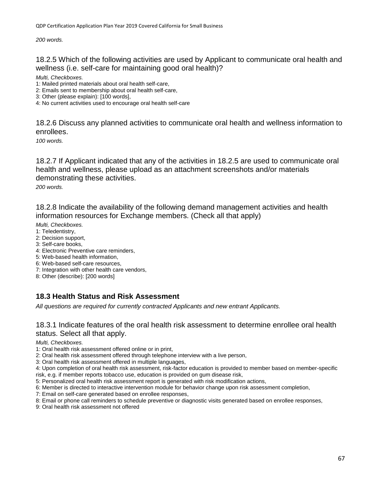*200 words.*

18.2.5 Which of the following activities are used by Applicant to communicate oral health and wellness (i.e. self-care for maintaining good oral health)?

*Multi, Checkboxes.*

1: Mailed printed materials about oral health self-care,

2: Emails sent to membership about oral health self-care,

3: Other (please explain): [100 words],

4: No current activities used to encourage oral health self-care

18.2.6 Discuss any planned activities to communicate oral health and wellness information to enrollees.

*100 words.*

18.2.7 If Applicant indicated that any of the activities in 18.2.5 are used to communicate oral health and wellness, please upload as an attachment screenshots and/or materials demonstrating these activities.

*200 words.*

18.2.8 Indicate the availability of the following demand management activities and health information resources for Exchange members. (Check all that apply)

*Multi, Checkboxes.*

1: Teledentistry,

- 2: Decision support,
- 3: Self-care books,
- 4: Electronic Preventive care reminders,
- 5: Web-based health information,
- 6: Web-based self-care resources,
- 7: Integration with other health care vendors,

8: Other (describe): [200 words]

### **18.3 Health Status and Risk Assessment**

*All questions are required for currently contracted Applicants and new entrant Applicants.*

18.3.1 Indicate features of the oral health risk assessment to determine enrollee oral health status. Select all that apply.

*Multi, Checkboxes.*

1: Oral health risk assessment offered online or in print,

2: Oral health risk assessment offered through telephone interview with a live person,

3: Oral health risk assessment offered in multiple languages,

4: Upon completion of oral health risk assessment, risk-factor education is provided to member based on member-specific risk, e.g. if member reports tobacco use, education is provided on gum disease risk,

5: Personalized oral health risk assessment report is generated with risk modification actions,

6: Member is directed to interactive intervention module for behavior change upon risk assessment completion,

7: Email on self-care generated based on enrollee responses,

8: Email or phone call reminders to schedule preventive or diagnostic visits generated based on enrollee responses,

9: Oral health risk assessment not offered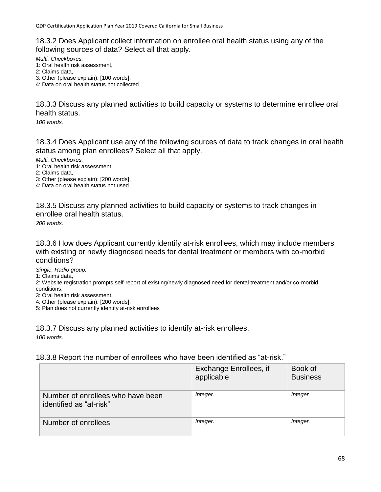18.3.2 Does Applicant collect information on enrollee oral health status using any of the following sources of data? Select all that apply.

*Multi, Checkboxes.*

- 1: Oral health risk assessment,
- 2: Claims data,
- 3: Other (please explain): [100 words],

4: Data on oral health status not collected

18.3.3 Discuss any planned activities to build capacity or systems to determine enrollee oral health status.

*100 words.*

18.3.4 Does Applicant use any of the following sources of data to track changes in oral health status among plan enrollees? Select all that apply.

*Multi, Checkboxes.*

- 1: Oral health risk assessment,
- 2: Claims data,

3: Other (please explain): [200 words],

4: Data on oral health status not used

18.3.5 Discuss any planned activities to build capacity or systems to track changes in enrollee oral health status.

*200 words.*

18.3.6 How does Applicant currently identify at-risk enrollees, which may include members with existing or newly diagnosed needs for dental treatment or members with co-morbid conditions?

*Single, Radio group.*

1: Claims data,

2: Website registration prompts self-report of existing/newly diagnosed need for dental treatment and/or co-morbid conditions,

3: Oral health risk assessment,

4: Other (please explain): [200 words],

5: Plan does not currently identify at-risk enrollees

18.3.7 Discuss any planned activities to identify at-risk enrollees. *100 words.*

18.3.8 Report the number of enrollees who have been identified as "at-risk."

|                                                              | Exchange Enrollees, if<br>applicable | Book of<br><b>Business</b> |
|--------------------------------------------------------------|--------------------------------------|----------------------------|
| Number of enrollees who have been<br>identified as "at-risk" | Integer.                             | Integer.                   |
| Number of enrollees                                          | Integer.                             | Integer.                   |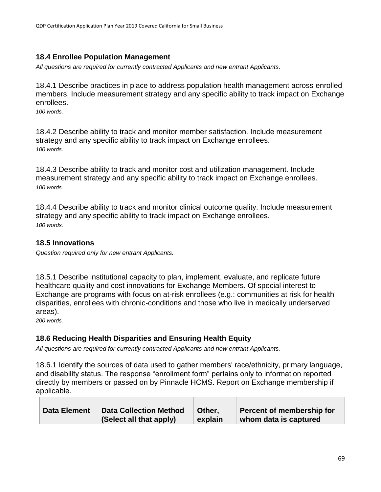### **18.4 Enrollee Population Management**

*All questions are required for currently contracted Applicants and new entrant Applicants.*

18.4.1 Describe practices in place to address population health management across enrolled members. Include measurement strategy and any specific ability to track impact on Exchange enrollees.

*100 words.*

18.4.2 Describe ability to track and monitor member satisfaction. Include measurement strategy and any specific ability to track impact on Exchange enrollees. *100 words.*

18.4.3 Describe ability to track and monitor cost and utilization management. Include measurement strategy and any specific ability to track impact on Exchange enrollees. *100 words.*

18.4.4 Describe ability to track and monitor clinical outcome quality. Include measurement strategy and any specific ability to track impact on Exchange enrollees. *100 words.*

### **18.5 Innovations**

*Question required only for new entrant Applicants.*

18.5.1 Describe institutional capacity to plan, implement, evaluate, and replicate future healthcare quality and cost innovations for Exchange Members. Of special interest to Exchange are programs with focus on at-risk enrollees (e.g.: communities at risk for health disparities, enrollees with chronic-conditions and those who live in medically underserved areas).

*200 words.*

### **18.6 Reducing Health Disparities and Ensuring Health Equity**

*All questions are required for currently contracted Applicants and new entrant Applicants.*

18.6.1 Identify the sources of data used to gather members' race/ethnicity, primary language, and disability status. The response "enrollment form" pertains only to information reported directly by members or passed on by Pinnacle HCMS. Report on Exchange membership if applicable.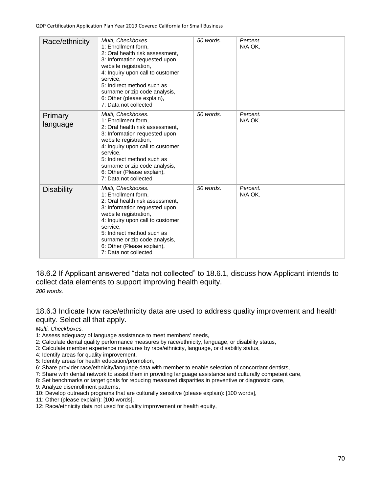| Race/ethnicity      | Multi, Checkboxes.<br>1: Enrollment form,<br>2: Oral health risk assessment,<br>3: Information requested upon<br>website registration,<br>4: Inquiry upon call to customer<br>service.<br>5: Indirect method such as<br>surname or zip code analysis,<br>6: Other (please explain),<br>7: Data not collected | $50$ words. | Percent.<br>N/A OK. |
|---------------------|--------------------------------------------------------------------------------------------------------------------------------------------------------------------------------------------------------------------------------------------------------------------------------------------------------------|-------------|---------------------|
| Primary<br>language | Multi, Checkboxes.<br>1: Enrollment form,<br>2: Oral health risk assessment,<br>3: Information requested upon<br>website registration,<br>4: Inquiry upon call to customer<br>service,<br>5: Indirect method such as<br>surname or zip code analysis,<br>6: Other (Please explain),<br>7: Data not collected | 50 words.   | Percent.<br>N/A OK. |
| <b>Disability</b>   | Multi, Checkboxes.<br>1: Enrollment form,<br>2: Oral health risk assessment,<br>3: Information requested upon<br>website registration,<br>4: Inquiry upon call to customer<br>service.<br>5: Indirect method such as<br>surname or zip code analysis,<br>6: Other (Please explain),<br>7: Data not collected | 50 words.   | Percent.<br>N/A OK. |

18.6.2 If Applicant answered "data not collected" to 18.6.1, discuss how Applicant intends to collect data elements to support improving health equity. *200 words.*

18.6.3 Indicate how race/ethnicity data are used to address quality improvement and health equity. Select all that apply.

*Multi, Checkboxes.*

- 1: Assess adequacy of language assistance to meet members' needs,
- 2: Calculate dental quality performance measures by race/ethnicity, language, or disability status,
- 3: Calculate member experience measures by race/ethnicity, language, or disability status,
- 4: Identify areas for quality improvement,
- 5: Identify areas for health education/promotion,
- 6: Share provider race/ethnicity/language data with member to enable selection of concordant dentists,
- 7: Share with dental network to assist them in providing language assistance and culturally competent care,
- 8: Set benchmarks or target goals for reducing measured disparities in preventive or diagnostic care,
- 9: Analyze disenrollment patterns,
- 10: Develop outreach programs that are culturally sensitive (please explain): [100 words],
- 11: Other (please explain): [100 words],
- 12: Race/ethnicity data not used for quality improvement or health equity,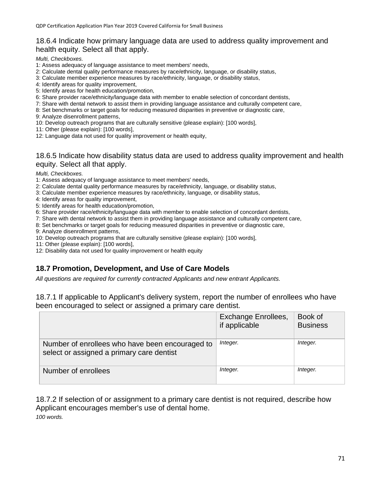#### 18.6.4 Indicate how primary language data are used to address quality improvement and health equity. Select all that apply.

*Multi, Checkboxes.*

- 1: Assess adequacy of language assistance to meet members' needs,
- 2: Calculate dental quality performance measures by race/ethnicity, language, or disability status,
- 3: Calculate member experience measures by race/ethnicity, language, or disability status,
- 4: Identify areas for quality improvement,
- 5: Identify areas for health education/promotion,
- 6: Share provider race/ethnicity/language data with member to enable selection of concordant dentists,

7: Share with dental network to assist them in providing language assistance and culturally competent care,

- 8: Set benchmarks or target goals for reducing measured disparities in preventive or diagnostic care,
- 9: Analyze disenrollment patterns,
- 10: Develop outreach programs that are culturally sensitive (please explain): [100 words],
- 11: Other (please explain): [100 words],
- 12: Language data not used for quality improvement or health equity,

#### 18.6.5 Indicate how disability status data are used to address quality improvement and health equity. Select all that apply.

*Multi, Checkboxes.*

- 1: Assess adequacy of language assistance to meet members' needs,
- 2: Calculate dental quality performance measures by race/ethnicity, language, or disability status,
- 3: Calculate member experience measures by race/ethnicity, language, or disability status,
- 4: Identify areas for quality improvement,
- 5: Identify areas for health education/promotion,
- 6: Share provider race/ethnicity/language data with member to enable selection of concordant dentists,
- 7: Share with dental network to assist them in providing language assistance and culturally competent care,
- 8: Set benchmarks or target goals for reducing measured disparities in preventive or diagnostic care,

9: Analyze disenrollment patterns,

- 10: Develop outreach programs that are culturally sensitive (please explain): [100 words],
- 11: Other (please explain): [100 words],
- 12: Disability data not used for quality improvement or health equity

### **18.7 Promotion, Development, and Use of Care Models**

*All questions are required for currently contracted Applicants and new entrant Applicants.*

18.7.1 If applicable to Applicant's delivery system, report the number of enrollees who have been encouraged to select or assigned a primary care dentist.

|                                                                                              | <b>Exchange Enrollees,</b><br>if applicable | Book of<br><b>Business</b> |
|----------------------------------------------------------------------------------------------|---------------------------------------------|----------------------------|
| Number of enrollees who have been encouraged to<br>select or assigned a primary care dentist | Integer.                                    | Integer.                   |
| Number of enrollees                                                                          | Integer.                                    | Integer.                   |

18.7.2 If selection of or assignment to a primary care dentist is not required, describe how Applicant encourages member's use of dental home. *100 words.*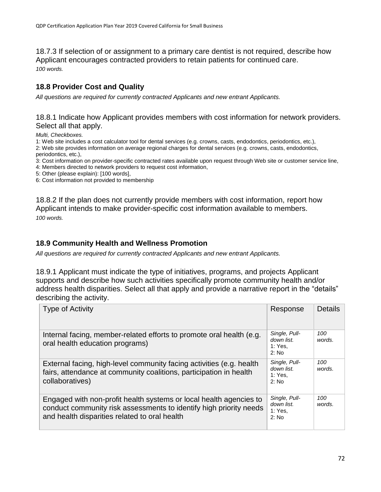18.7.3 If selection of or assignment to a primary care dentist is not required, describe how Applicant encourages contracted providers to retain patients for continued care. *100 words.*

### **18.8 Provider Cost and Quality**

*All questions are required for currently contracted Applicants and new entrant Applicants.*

#### 18.8.1 Indicate how Applicant provides members with cost information for network providers. Select all that apply.

*Multi, Checkboxes.*

1: Web site includes a cost calculator tool for dental services (e.g. crowns, casts, endodontics, periodontics, etc.),

2: Web site provides information on average regional charges for dental services (e.g. crowns, casts, endodontics, periodontics, etc.),

3: Cost information on provider-specific contracted rates available upon request through Web site or customer service line,

- 4: Members directed to network providers to request cost information,
- 5: Other (please explain): [100 words],

6: Cost information not provided to membership

18.8.2 If the plan does not currently provide members with cost information, report how Applicant intends to make provider-specific cost information available to members. *100 words.*

### **18.9 Community Health and Wellness Promotion**

*All questions are required for currently contracted Applicants and new entrant Applicants.*

18.9.1 Applicant must indicate the type of initiatives, programs, and projects Applicant supports and describe how such activities specifically promote community health and/or address health disparities. Select all that apply and provide a narrative report in the "details" describing the activity.

| <b>Type of Activity</b>                                                                                                                                                                   | Response                                          | Details       |
|-------------------------------------------------------------------------------------------------------------------------------------------------------------------------------------------|---------------------------------------------------|---------------|
| Internal facing, member-related efforts to promote oral health (e.g.<br>oral health education programs)                                                                                   | Single, Pull-<br>down list.<br>1: Yes.<br>2: No   | 100<br>words. |
| External facing, high-level community facing activities (e.g. health<br>fairs, attendance at community coalitions, participation in health<br>collaboratives)                             | Single, Pull-<br>down list.<br>1: Yes.<br>$2:$ No | 100<br>words. |
| Engaged with non-profit health systems or local health agencies to<br>conduct community risk assessments to identify high priority needs<br>and health disparities related to oral health | Single, Pull-<br>down list.<br>1: Yes.<br>2: No   | 100<br>words. |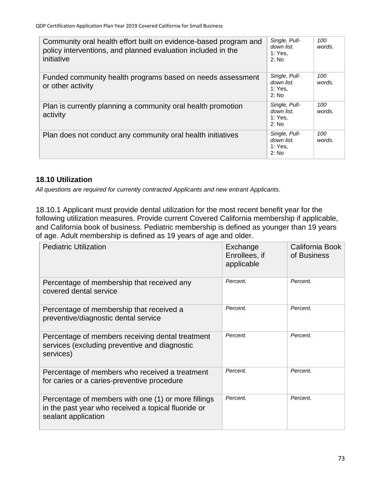| Community oral health effort built on evidence-based program and<br>policy interventions, and planned evaluation included in the<br>initiative | Single, Pull-<br>down list.<br>1: Yes.<br>2: No | 100<br>words. |
|------------------------------------------------------------------------------------------------------------------------------------------------|-------------------------------------------------|---------------|
| Funded community health programs based on needs assessment<br>or other activity                                                                | Single, Pull-<br>down list.<br>1: Yes.<br>2: No | 100<br>words. |
| Plan is currently planning a community oral health promotion<br>activity                                                                       | Single, Pull-<br>down list.<br>1: Yes.<br>2: No | 100<br>words. |
| Plan does not conduct any community oral health initiatives                                                                                    | Single, Pull-<br>down list.<br>1: Yes.<br>2: No | 100<br>words. |

## **18.10 Utilization**

*All questions are required for currently contracted Applicants and new entrant Applicants.*

18.10.1 Applicant must provide dental utilization for the most recent benefit year for the following utilization measures. Provide current Covered California membership if applicable, and California book of business. Pediatric membership is defined as younger than 19 years of age. Adult membership is defined as 19 years of age and older.

| <b>Pediatric Utilization</b>                                                                                                      | Exchange<br>Enrollees, if<br>applicable | California Book<br>of Business |
|-----------------------------------------------------------------------------------------------------------------------------------|-----------------------------------------|--------------------------------|
| Percentage of membership that received any<br>covered dental service                                                              | Percent.                                | Percent.                       |
| Percentage of membership that received a<br>preventive/diagnostic dental service                                                  | Percent.                                | Percent.                       |
| Percentage of members receiving dental treatment<br>services (excluding preventive and diagnostic<br>services)                    | Percent.                                | Percent.                       |
| Percentage of members who received a treatment<br>for caries or a caries-preventive procedure                                     | Percent.                                | Percent.                       |
| Percentage of members with one (1) or more fillings<br>in the past year who received a topical fluoride or<br>sealant application | Percent.                                | Percent.                       |